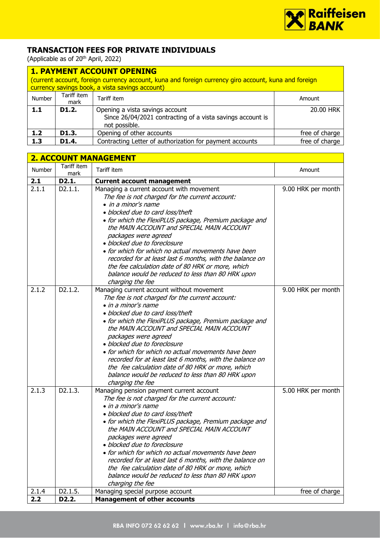

## **TRANSACTION FEES FOR PRIVATE INDIVIDUALS**

(Applicable as of 20<sup>th</sup> April, 2022)

|        | <b>1. PAYMENT ACCOUNT OPENING</b> |                                                                                                                |                |  |  |
|--------|-----------------------------------|----------------------------------------------------------------------------------------------------------------|----------------|--|--|
|        |                                   | (current account, foreign currency account, kuna and foreign currency giro account, kuna and foreign           |                |  |  |
|        |                                   | currency savings book, a vista savings account)                                                                |                |  |  |
| Number | Tariff item<br>mark               | Tariff item                                                                                                    | Amount         |  |  |
| 1.1    | D <sub>1</sub> .2.                | Opening a vista savings account<br>Since 26/04/2021 contracting of a vista savings account is<br>not possible. | 20.00 HRK      |  |  |
| 1.2    | D1.3.                             | Opening of other accounts                                                                                      | free of charge |  |  |
| 1.3    | D <sub>1.4</sub> .                | Contracting Letter of authorization for payment accounts                                                       | free of charge |  |  |

|        | <b>2. ACCOUNT MANAGEMENT</b> |                                                                                                                                                                                                                                                                                                                                                                                                                                                                                                                                                                         |                    |  |
|--------|------------------------------|-------------------------------------------------------------------------------------------------------------------------------------------------------------------------------------------------------------------------------------------------------------------------------------------------------------------------------------------------------------------------------------------------------------------------------------------------------------------------------------------------------------------------------------------------------------------------|--------------------|--|
| Number | Tariff item<br>mark          | Tariff item                                                                                                                                                                                                                                                                                                                                                                                                                                                                                                                                                             | Amount             |  |
| 2.1    | D2.1.                        | <b>Current account management</b>                                                                                                                                                                                                                                                                                                                                                                                                                                                                                                                                       |                    |  |
| 2.1.1  | D2.1.1.                      | Managing a current account with movement<br>The fee is not charged for the current account:<br>• in a minor's name<br>· blocked due to card loss/theft<br>• for which the FlexiPLUS package, Premium package and<br>the MAIN ACCOUNT and SPECIAL MAIN ACCOUNT<br>packages were agreed<br>· blocked due to foreclosure<br>• for which for which no actual movements have been<br>recorded for at least last 6 months, with the balance on<br>the fee calculation date of 80 HRK or more, which<br>balance would be reduced to less than 80 HRK upon<br>charging the fee  | 9.00 HRK per month |  |
| 2.1.2  | D2.1.2.                      | Managing current account without movement<br>The fee is not charged for the current account:<br>• in a minor's name<br>· blocked due to card loss/theft<br>• for which the FlexiPLUS package, Premium package and<br>the MAIN ACCOUNT and SPECIAL MAIN ACCOUNT<br>packages were agreed<br>· blocked due to foreclosure<br>• for which for which no actual movements have been<br>recorded for at least last 6 months, with the balance on<br>the fee calculation date of 80 HRK or more, which<br>balance would be reduced to less than 80 HRK upon<br>charging the fee | 9.00 HRK per month |  |
| 2.1.3  | D2.1.3.                      | Managing pension payment current account<br>The fee is not charged for the current account:<br>• in a minor's name<br>· blocked due to card loss/theft<br>• for which the FlexiPLUS package, Premium package and<br>the MAIN ACCOUNT and SPECIAL MAIN ACCOUNT<br>packages were agreed<br>· blocked due to foreclosure<br>• for which for which no actual movements have been<br>recorded for at least last 6 months, with the balance on<br>the fee calculation date of 80 HRK or more, which<br>balance would be reduced to less than 80 HRK upon<br>charging the fee  | 5.00 HRK per month |  |
| 2.1.4  | D2.1.5.                      | Managing special purpose account                                                                                                                                                                                                                                                                                                                                                                                                                                                                                                                                        | free of charge     |  |
| 2.2    | D <sub>2</sub> .2.           | <b>Management of other accounts</b>                                                                                                                                                                                                                                                                                                                                                                                                                                                                                                                                     |                    |  |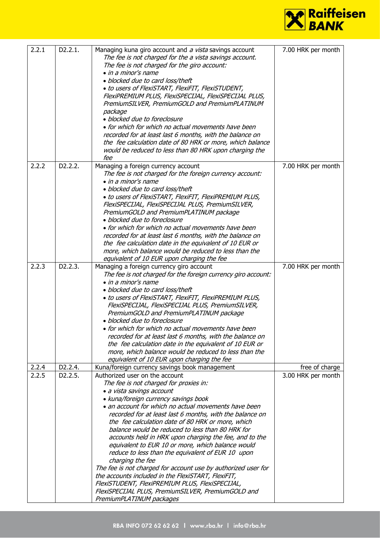

| 2.2.1 | D2.2.1.              | Managing kuna giro account and a vista savings account<br>The fee is not charged for the a vista savings account.<br>The fee is not charged for the giro account:<br>• in a minor's name<br>· blocked due to card loss/theft<br>. to users of FlexiSTART, FlexiFIT, FlexiSTUDENT,<br>FlexiPREMIUM PLUS, FlexiSPECIJAL, FlexiSPECIJAL PLUS,<br>PremiumSILVER, PremiumGOLD and PremiumPLATINUM<br>package<br>· blocked due to foreclosure<br>• for which for which no actual movements have been<br>recorded for at least last 6 months, with the balance on<br>the fee calculation date of 80 HRK or more, which balance<br>would be reduced to less than 80 HRK upon charging the<br>fee                                                                                                                                       | 7.00 HRK per month |
|-------|----------------------|--------------------------------------------------------------------------------------------------------------------------------------------------------------------------------------------------------------------------------------------------------------------------------------------------------------------------------------------------------------------------------------------------------------------------------------------------------------------------------------------------------------------------------------------------------------------------------------------------------------------------------------------------------------------------------------------------------------------------------------------------------------------------------------------------------------------------------|--------------------|
| 2.2.2 | D2.2.2.              | Managing a foreign currency account<br>The fee is not charged for the foreign currency account:<br>• in a minor's name<br>· blocked due to card loss/theft<br>• to users of FlexiSTART, FlexiFIT, FlexiPREMIUM PLUS,<br>FlexiSPECIJAL, FlexiSPECIJAL PLUS, PremiumSILVER,<br>PremiumGOLD and PremiumPLATINUM package<br>· blocked due to foreclosure<br>• for which for which no actual movements have been<br>recorded for at least last 6 months, with the balance on<br>the fee calculation date in the equivalent of 10 EUR or<br>more, which balance would be reduced to less than the<br>equivalent of 10 EUR upon charging the fee                                                                                                                                                                                      | 7.00 HRK per month |
| 2.2.3 | D2.2.3.              | Managing a foreign currency giro account<br>The fee is not charged for the foreign currency giro account:<br>• in a minor's name<br>· blocked due to card loss/theft<br>. to users of FlexiSTART, FlexiFIT, FlexiPREMIUM PLUS,<br>FlexiSPECIJAL, FlexiSPECIJAL PLUS, PremiumSILVER,<br>PremiumGOLD and PremiumPLATINUM package<br>· blocked due to foreclosure<br>$\bullet$ for which for which no actual movements have been $\,$<br>recorded for at least last 6 months, with the balance on<br>the fee calculation date in the equivalent of 10 EUR or<br>more, which balance would be reduced to less than the<br>equivalent of 10 EUR upon charging the fee                                                                                                                                                               | 7.00 HRK per month |
| 2.2.4 | D2.2.4.              | Kuna/foreign currency savings book management                                                                                                                                                                                                                                                                                                                                                                                                                                                                                                                                                                                                                                                                                                                                                                                  | free of charge     |
| 2.2.5 | D <sub>2</sub> .2.5. | Authorized user on the account<br>The fee is not charged for proxies in:<br>· a vista savings account<br>· kuna/foreign currency savings book<br>• an account for which no actual movements have been<br>recorded for at least last 6 months, with the balance on<br>the fee calculation date of 80 HRK or more, which<br>balance would be reduced to less than 80 HRK for<br>accounts held in HRK upon charging the fee, and to the<br>equivalent to EUR 10 or more, which balance would<br>reduce to less than the equivalent of EUR 10 upon<br>charging the fee<br>The fee is not charged for account use by authorized user for<br>the accounts included in the FlexiSTART, FlexiFIT,<br>FlexiSTUDENT, FlexiPREMIUM PLUS, FlexiSPECIJAL,<br>FlexiSPECIJAL PLUS, PremiumSILVER, PremiumGOLD and<br>PremiumPLATINUM packages | 3.00 HRK per month |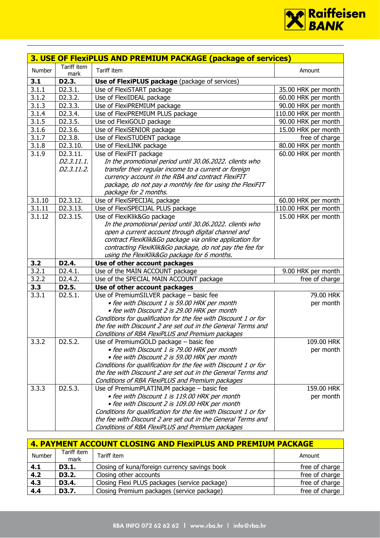

|                |                      | 3. USE OF FlexiPLUS AND PREMIUM PACKAGE (package of services)             |                      |
|----------------|----------------------|---------------------------------------------------------------------------|----------------------|
| Number         | Tariff item<br>mark  | Tariff item                                                               | Amount               |
| 3.1            | D2.3.                | <b>Use of FlexiPLUS package</b> (package of services)                     |                      |
| 3.1.1          | D2.3.1.              | Use of FlexiSTART package                                                 | 35.00 HRK per month  |
| 3.1.2          | D <sub>2</sub> .3.2. | Use of FlexiIDEAL package                                                 | 60.00 HRK per month  |
| 3.1.3          | D2.3.3.              | Use of FlexiPREMIUM package                                               | 90.00 HRK per month  |
| 3.1.4          | D2.3.4.              | Use of FlexiPREMIUM PLUS package                                          | 110.00 HRK per month |
| 3.1.5          | D2.3.5.              | Use od FlexiGOLD package                                                  | 90.00 HRK per month  |
| 3.1.6          | D2.3.6.              | Use of FlexiSENIOR package                                                | 15.00 HRK per month  |
| 3.1.7          | D2.3.8.              | Use of FlexiSTUDENT package                                               | free of charge       |
| 3.1.8          | D2.3.10.             | Use of FlexiLINK package                                                  | 80.00 HRK per month  |
| 3.1.9          | D2.3.11.             | Use of FlexiFIT package                                                   | 60.00 HRK per month  |
|                | D2.3.11.1.           | In the promotional period until 30.06.2022. clients who                   |                      |
|                | D2.3.11.2.           | transfer their regular income to a current or foreign                     |                      |
|                |                      | currency account in the RBA and contract FlexiFIT                         |                      |
|                |                      | package, do not pay a monthly fee for using the FlexiFIT                  |                      |
|                |                      | package for 2 months.                                                     |                      |
| 3.1.10         | D2.3.12.             | Use of FlexiSPECIJAL package                                              | 60.00 HRK per month  |
| 3.1.11         | D2.3.13.             | Use of FlexiSPECIJAL PLUS package                                         | 110.00 HRK per month |
| 3.1.12         | D2.3.15.             | Use of FlexiKlik&Go package                                               | 15.00 HRK per month  |
|                |                      | In the promotional period until 30.06.2022. clients who                   |                      |
|                |                      | open a current account through digital channel and                        |                      |
|                |                      | contract FlexiKlik&Go package via online application for                  |                      |
|                |                      | contracting FlexiKlik&Go package, do not pay the fee for                  |                      |
|                |                      | using the FlexiKlik&Go package for 6 months.                              |                      |
| 3.2            | D2.4.                | Use of other account packages                                             |                      |
| 3.2.1<br>3.2.2 | D2.4.1.              | Use of the MAIN ACCOUNT package                                           | 9.00 HRK per month   |
| 3.3            | D2.4.2.<br>D2.5.     | Use of the SPECIAL MAIN ACCOUNT package                                   | free of charge       |
| 3.3.1          | D2.5.1.              | Use of other account packages<br>Use of PremiumSILVER package - basic fee | 79.00 HRK            |
|                |                      | · fee with Discount 1 is 59.00 HRK per month                              | per month            |
|                |                      | · fee with Discount 2 is 29.00 HRK per month                              |                      |
|                |                      | Conditions for qualification for the fee with Discount 1 or for           |                      |
|                |                      | the fee with Discount 2 are set out in the General Terms and              |                      |
|                |                      | Conditions of RBA FlexiPLUS and Premium packages                          |                      |
| 3.3.2          | D2.5.2.              | Use of PremiumGOLD package - basic fee                                    | 109.00 HRK           |
|                |                      | • fee with Discount 1 is 79.00 HRK per month                              | per month            |
|                |                      | • fee with Discount 2 is 59.00 HRK per month                              |                      |
|                |                      | Conditions for qualification for the fee with Discount 1 or for           |                      |
|                |                      | the fee with Discount 2 are set out in the General Terms and              |                      |
|                |                      | Conditions of RBA FlexiPLUS and Premium packages                          |                      |
| 3.3.3          | D2.5.3.              | Use of PremiumPLATINUM package - basic fee                                | 159.00 HRK           |
|                |                      | • fee with Discount 1 is 119.00 HRK per month                             | per month            |
|                |                      | · fee with Discount 2 is 109.00 HRK per month                             |                      |
|                |                      | Conditions for qualification for the fee with Discount 1 or for           |                      |
|                |                      | the fee with Discount 2 are set out in the General Terms and              |                      |
|                |                      | Conditions of RBA FlexiPLUS and Premium packages                          |                      |

| 4. PAYMENT ACCOUNT CLOSING AND FlexiPLUS AND PREMIUM PACKAGE |                     |                                               |                |  |
|--------------------------------------------------------------|---------------------|-----------------------------------------------|----------------|--|
| Number                                                       | Tariff item<br>mark | Tariff item                                   | Amount         |  |
| 4.1                                                          | D3.1.               | Closing of kuna/foreign currency savings book | free of charge |  |
| 4.2                                                          | D3.2.               | Closing other accounts                        | free of charge |  |
| 4.3                                                          | D3.4.               | Closing Flexi PLUS packages (service package) | free of charge |  |
| 4.4                                                          | D3.7.               | Closing Premium packages (service package)    | free of charge |  |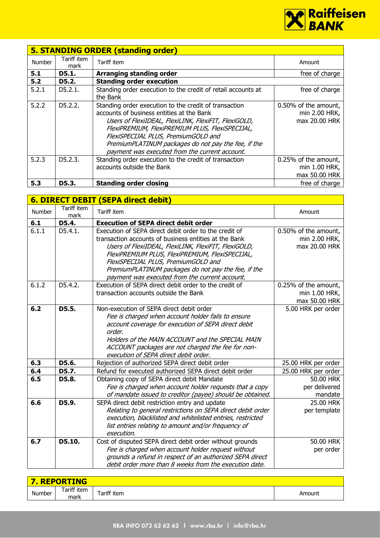

|               | <b>5. STANDING ORDER (standing order)</b> |                                                                                                                                                                                                                                                                                                                                                               |                                                        |  |  |
|---------------|-------------------------------------------|---------------------------------------------------------------------------------------------------------------------------------------------------------------------------------------------------------------------------------------------------------------------------------------------------------------------------------------------------------------|--------------------------------------------------------|--|--|
| <b>Number</b> | Tariff item<br>mark                       | Tariff item                                                                                                                                                                                                                                                                                                                                                   | Amount                                                 |  |  |
| 5.1           | D5.1.                                     | Arranging standing order                                                                                                                                                                                                                                                                                                                                      | free of charge                                         |  |  |
| 5.2           | D5.2.                                     | <b>Standing order execution</b>                                                                                                                                                                                                                                                                                                                               |                                                        |  |  |
| 5.2.1         | D5.2.1.                                   | Standing order execution to the credit of retail accounts at<br>the Bank                                                                                                                                                                                                                                                                                      | free of charge                                         |  |  |
| 5.2.2         | D5.2.2.                                   | Standing order execution to the credit of transaction<br>accounts of business entities at the Bank<br>Users of FlexiIDEAL, FlexiLINK, FlexiFIT, FlexiGOLD,<br>FlexiPREMIUM, FlexiPREMIUM PLUS, FlexiSPECIJAL,<br>FlexiSPECIJAL PLUS, PremiumGOLD and<br>PremiumPLATINUM packages do not pay the fee, if the<br>payment was executed from the current account. | 0.50% of the amount,<br>min 2.00 HRK,<br>max 20.00 HRK |  |  |
| 5.2.3         | D5.2.3.                                   | Standing order execution to the credit of transaction<br>accounts outside the Bank                                                                                                                                                                                                                                                                            | 0.25% of the amount,<br>min 1.00 HRK,<br>max 50.00 HRK |  |  |
| 5.3           | D5.3.                                     | <b>Standing order closing</b>                                                                                                                                                                                                                                                                                                                                 | free of charge                                         |  |  |

|        |                     | <b>6. DIRECT DEBIT (SEPA direct debit)</b>                                                                                                                                                                                                                                                                                                                                |                                                        |
|--------|---------------------|---------------------------------------------------------------------------------------------------------------------------------------------------------------------------------------------------------------------------------------------------------------------------------------------------------------------------------------------------------------------------|--------------------------------------------------------|
| Number | Tariff item<br>mark | Tariff item                                                                                                                                                                                                                                                                                                                                                               | Amount                                                 |
| 6.1    | D5.4.               | <b>Execution of SEPA direct debit order</b>                                                                                                                                                                                                                                                                                                                               |                                                        |
| 6.1.1  | D5.4.1.             | Execution of SEPA direct debit order to the credit of<br>transaction accounts of business entities at the Bank<br>Users of FlexiIDEAL, FlexiLINK, FlexiFIT, FlexiGOLD,<br>FlexiPREMIUM PLUS, FlexiPREMIUM, FlexiSPECIJAL,<br>FlexiSPECIJAL PLUS, PremiumGOLD and<br>PremiumPLATINUM packages do not pay the fee, if the<br>payment was executed from the current account. | 0.50% of the amount,<br>min 2.00 HRK,<br>max 20.00 HRK |
| 6.1.2  | D5.4.2.             | Execution of SEPA direct debit order to the credit of<br>transaction accounts outside the Bank                                                                                                                                                                                                                                                                            | 0.25% of the amount,<br>min 1.00 HRK,<br>max 50.00 HRK |
| 6.2    | D5.5.               | Non-execution of SEPA direct debit order<br>Fee is charged when account holder fails to ensure<br>account coverage for execution of SEPA direct debit<br>order.<br>Holders of the MAIN ACCOUNT and the SPECIAL MAIN<br>ACCOUNT packages are not charged the fee for non-<br>execution of SEPA direct debit order.                                                         | 5.00 HRK per order                                     |
| 6.3    | D5.6.               | Rejection of authorized SEPA direct debit order                                                                                                                                                                                                                                                                                                                           | 25.00 HRK per order                                    |
| 6.4    | D5.7.               | Refund for executed authorized SEPA direct debit order                                                                                                                                                                                                                                                                                                                    | 25.00 HRK per order                                    |
| 6.5    | D5.8.               | Obtaining copy of SEPA direct debit Mandate<br>Fee is charged when account holder requests that a copy<br>of mandate issued to creditor (payee) should be obtained.                                                                                                                                                                                                       | 50.00 HRK<br>per delivered<br>mandate                  |
| 6.6    | D5.9.               | SEPA direct debit restriction entry and update<br>Relating to general restrictions on SEPA direct debit order<br>execution, blacklisted and whitelisted entries, restricted<br>list entries relating to amount and/or frequency of<br>execution.                                                                                                                          | 25.00 HRK<br>per template                              |
| 6.7    | D5.10.              | Cost of disputed SEPA direct debit order without grounds<br>Fee is charged when account holder request without<br>grounds a refund in respect of an authorized SEPA direct<br>debit order more than 8 weeks from the execution date.                                                                                                                                      | 50.00 HRK<br>per order                                 |

| <b>REPORTING</b><br>■7 |                     |             |        |  |
|------------------------|---------------------|-------------|--------|--|
| Number                 | Tariff item<br>mark | Tariff item | Amount |  |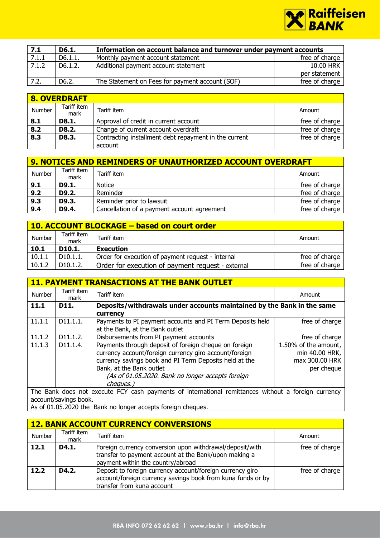

| 7.1   | D6.1.              | Information on account balance and turnover under payment accounts |                |
|-------|--------------------|--------------------------------------------------------------------|----------------|
| 7.1.1 | D6.1.1.            | Monthly payment account statement                                  | free of charge |
| 7.1.2 | D6.1.2.            | Additional payment account statement                               | 10.00 HRK      |
|       |                    |                                                                    | per statement  |
| 7.2.  | D <sub>6</sub> .2. | The Statement on Fees for payment account (SOF)                    | free of charge |

|        | 8. OVERDRAFT        |                                                                  |                |  |  |
|--------|---------------------|------------------------------------------------------------------|----------------|--|--|
| Number | Tariff item<br>mark | Tariff item                                                      | Amount         |  |  |
| 8.1    | D8.1.               | Approval of credit in current account                            | free of charge |  |  |
| 8.2    | D8.2.               | Change of current account overdraft                              | free of charge |  |  |
| 8.3    | D8.3.               | Contracting installment debt repayment in the current<br>account | free of charge |  |  |

|        | <b>9. NOTICES AND REMINDERS OF UNAUTHORIZED ACCOUNT OVERDRAFT</b> |                                             |                |  |  |
|--------|-------------------------------------------------------------------|---------------------------------------------|----------------|--|--|
| Number | Tariff item<br>mark                                               | Tariff item                                 | Amount         |  |  |
| 9.1    | D9.1.                                                             | Notice                                      | free of charge |  |  |
| 9.2    | D9.2.                                                             | Reminder                                    | free of charge |  |  |
| 9.3    | D9.3.                                                             | Reminder prior to lawsuit                   | free of charge |  |  |
| 9.4    | D9.4.                                                             | Cancellation of a payment account agreement | free of charge |  |  |

| 10. ACCOUNT BLOCKAGE - based on court order |                       |                                                   |                |  |
|---------------------------------------------|-----------------------|---------------------------------------------------|----------------|--|
| Number                                      | Tariff item<br>mark   | Tariff item                                       | Amount         |  |
| 10.1                                        | D10.1.                | <b>Execution</b>                                  |                |  |
| 10.1.1                                      | D <sub>10.1.1</sub> . | Order for execution of payment request - internal | free of charge |  |
| 10.1.2                                      | D10.1.2.              | Order for execution of payment request - external | free of charge |  |

|        | <b>11. PAYMENT TRANSACTIONS AT THE BANK OUTLET</b> |                                                                                                     |                      |  |
|--------|----------------------------------------------------|-----------------------------------------------------------------------------------------------------|----------------------|--|
| Number | Tariff item<br>mark                                | Tariff item                                                                                         | Amount               |  |
| 11.1   | D11.                                               | Deposits/withdrawals under accounts maintained by the Bank in the same                              |                      |  |
|        |                                                    | currency                                                                                            |                      |  |
| 11.1.1 | D11.1.1.                                           | Payments to PI payment accounts and PI Term Deposits held                                           | free of charge       |  |
|        |                                                    | at the Bank, at the Bank outlet                                                                     |                      |  |
| 11.1.2 | D11.1.2.                                           | Disbursements from PI payment accounts                                                              | free of charge       |  |
| 11.1.3 | D11.1.4.                                           | Payments through deposit of foreign cheque on foreign                                               | 1.50% of the amount, |  |
|        |                                                    | currency account/foreign currency giro account/foreign                                              | min 40.00 HRK,       |  |
|        |                                                    | currency savings book and PI Term Deposits held at the                                              | max 300.00 HRK       |  |
|        |                                                    | Bank, at the Bank outlet                                                                            | per cheque           |  |
|        |                                                    | (As of 01.05.2020. Bank no longer accepts foreign                                                   |                      |  |
|        |                                                    | cheques.)                                                                                           |                      |  |
|        |                                                    | The Bank does not execute FCY cash nayments of international remittances without a foreign currency |                      |  |

The Bank does not execute FCY cash payments of international remittances without a foreign currency account/savings book.

As of 01.05.2020 the Bank no longer accepts foreign cheques.

|        | <b>12. BANK ACCOUNT CURRENCY CONVERSIONS</b> |                                                                                                                                                        |                |  |  |
|--------|----------------------------------------------|--------------------------------------------------------------------------------------------------------------------------------------------------------|----------------|--|--|
| Number | Tariff item<br>mark                          | Tariff item                                                                                                                                            | Amount         |  |  |
| 12.1   | D4.1.                                        | Foreign currency conversion upon withdrawal/deposit/with<br>transfer to payment account at the Bank/upon making a<br>payment within the country/abroad | free of charge |  |  |
| 12.2   | D4.2.                                        | Deposit to foreign currency account/foreign currency giro<br>account/foreign currency savings book from kuna funds or by<br>transfer from kuna account | free of charge |  |  |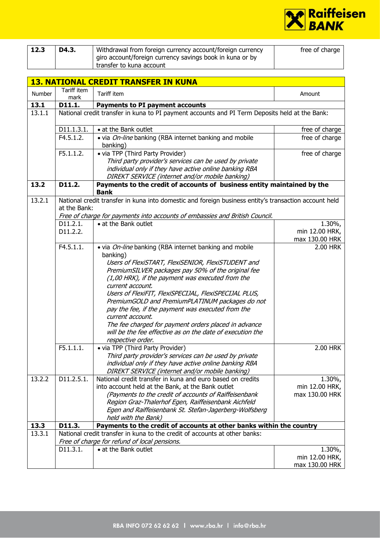

| 12.3 | D4.3. | Withdrawal from foreign currency account/foreign currency  | free of charge |
|------|-------|------------------------------------------------------------|----------------|
|      |       | I giro account/foreign currency savings book in kuna or by |                |
|      |       | transfer to kuna account                                   |                |

|        | <b>13. NATIONAL CREDIT TRANSFER IN KUNA</b> |                                                                                                                                                                                                                                                                                                                             |                                                |  |
|--------|---------------------------------------------|-----------------------------------------------------------------------------------------------------------------------------------------------------------------------------------------------------------------------------------------------------------------------------------------------------------------------------|------------------------------------------------|--|
| Number | Tariff item<br>mark                         | Tariff item                                                                                                                                                                                                                                                                                                                 | Amount                                         |  |
| 13.1   | D11.1.                                      | <b>Payments to PI payment accounts</b>                                                                                                                                                                                                                                                                                      |                                                |  |
| 13.1.1 |                                             | National credit transfer in kuna to PI payment accounts and PI Term Deposits held at the Bank:                                                                                                                                                                                                                              |                                                |  |
|        | D11.1.3.1.                                  | • at the Bank outlet                                                                                                                                                                                                                                                                                                        | free of charge                                 |  |
|        | F4.5.1.2.                                   | . via <i>On-line</i> banking (RBA internet banking and mobile<br>banking)                                                                                                                                                                                                                                                   | free of charge                                 |  |
|        | F5.1.1.2.                                   | • via TPP (Third Party Provider)<br>Third party provider's services can be used by private<br>individual only if they have active online banking RBA<br>DIREKT SERVICE (internet and/or mobile banking)                                                                                                                     | free of charge                                 |  |
| 13.2   | D11.2.                                      | Payments to the credit of accounts of business entity maintained by the<br><b>Bank</b>                                                                                                                                                                                                                                      |                                                |  |
| 13.2.1 | at the Bank:                                | National credit transfer in kuna into domestic and foreign business entity's transaction account held<br>Free of charge for payments into accounts of embassies and British Council.                                                                                                                                        |                                                |  |
|        | D11.2.1.                                    | • at the Bank outlet                                                                                                                                                                                                                                                                                                        | 1.30%,                                         |  |
|        | D11.2.2.                                    |                                                                                                                                                                                                                                                                                                                             | min 12.00 HRK,                                 |  |
|        | F4.5.1.1.                                   | . via <i>On-line</i> banking (RBA internet banking and mobile                                                                                                                                                                                                                                                               | max 130.00 HRK<br>2.00 HRK                     |  |
|        |                                             | banking)<br>Users of FlexiSTART, FlexiSENIOR, FlexiSTUDENT and<br>PremiumSILVER packages pay 50% of the original fee<br>(1,00 HRK), if the payment was executed from the<br>current account.                                                                                                                                |                                                |  |
|        |                                             | Users of FlexiFIT, FlexiSPECIJAL, FlexiSPECIJAL PLUS,<br>PremiumGOLD and PremiumPLATINUM packages do not<br>pay the fee, if the payment was executed from the<br>current account.<br>The fee charged for payment orders placed in advance<br>will be the fee effective as on the date of execution the<br>respective order. |                                                |  |
|        | F5.1.1.1.                                   | • via TPP (Third Party Provider)<br>Third party provider's services can be used by private<br>individual only if they have active online banking RBA<br>DIREKT SERVICE (internet and/or mobile banking)                                                                                                                     | 2.00 HRK                                       |  |
| 13.2.2 | D11.2.5.1.                                  | National credit transfer in kuna and euro based on credits<br>into account held at the Bank, at the Bank outlet<br>(Payments to the credit of accounts of Raiffeisenbank<br>Region Graz-Thalerhof Egen, Raiffeisenbank Aichfeld<br>Egen and Raiffeisenbank St. Stefan-Jagerberg-Wolfsberg<br>held with the Bank)            | $1.30\%$ ,<br>min 12.00 HRK,<br>max 130.00 HRK |  |
| 13.3   | D11.3.                                      | Payments to the credit of accounts at other banks within the country                                                                                                                                                                                                                                                        |                                                |  |
| 13.3.1 |                                             | National credit transfer in kuna to the credit of accounts at other banks:<br>Free of charge for refund of local pensions.                                                                                                                                                                                                  |                                                |  |
|        | D11.3.1.                                    | • at the Bank outlet                                                                                                                                                                                                                                                                                                        | $1.30\%$ ,<br>min 12.00 HRK,<br>max 130.00 HRK |  |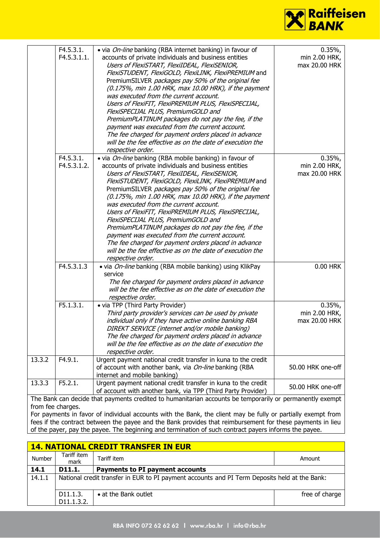

|        | F4.5.3.1.<br>F4.5.3.1.1. | . via <i>On-line</i> banking (RBA internet banking) in favour of<br>accounts of private individuals and business entities<br>Users of FlexiSTART, FlexiIDEAL, FlexiSENIOR,<br>FlexiSTUDENT, FlexiGOLD, FlexiLINK, FlexiPREMIUM and<br>PremiumSILVER packages pay 50% of the original fee<br>(0.175%, min 1.00 HRK, max 10.00 HRK), if the payment<br>was executed from the current account.<br>Users of FlexiFIT, FlexiPREMIUM PLUS, FlexiSPECIJAL,<br>FlexiSPECIJAL PLUS, PremiumGOLD and<br>PremiumPLATINUM packages do not pay the fee, if the<br>payment was executed from the current account.<br>The fee charged for payment orders placed in advance<br>will be the fee effective as on the date of execution the<br>respective order. | $0.35\%$<br>min 2.00 HRK,<br>max 20.00 HRK |
|--------|--------------------------|-----------------------------------------------------------------------------------------------------------------------------------------------------------------------------------------------------------------------------------------------------------------------------------------------------------------------------------------------------------------------------------------------------------------------------------------------------------------------------------------------------------------------------------------------------------------------------------------------------------------------------------------------------------------------------------------------------------------------------------------------|--------------------------------------------|
|        | F4.5.3.1.<br>F4.5.3.1.2. | . via <i>On-line</i> banking (RBA mobile banking) in favour of<br>accounts of private individuals and business entities<br>Users of FlexiSTART, FlexiIDEAL, FlexiSENIOR,<br>FlexiSTUDENT, FlexiGOLD, FlexiLINK, FlexiPREMIUM and<br>PremiumSILVER packages pay 50% of the original fee<br>(0.175%, min 1.00 HRK, max 10.00 HRK), if the payment<br>was executed from the current account.<br>Users of FlexiFIT, FlexiPREMIUM PLUS, FlexiSPECIJAL,<br>FlexiSPECIJAL PLUS, PremiumGOLD and<br>PremiumPLATINUM packages do not pay the fee, if the<br>payment was executed from the current account.<br>The fee charged for payment orders placed in advance<br>will be the fee effective as on the date of execution the<br>respective order.   | $0.35\%$<br>min 2.00 HRK,<br>max 20.00 HRK |
|        | F4.5.3.1.3               | . via <i>On-line</i> banking (RBA mobile banking) using KlikPay<br>service<br>The fee charged for payment orders placed in advance<br>will be the fee effective as on the date of execution the<br>respective order.                                                                                                                                                                                                                                                                                                                                                                                                                                                                                                                          | 0.00 HRK                                   |
|        | F5.1.3.1.                | • via TPP (Third Party Provider)<br>Third party provider's services can be used by private<br>individual only if they have active online banking RBA<br>DIREKT SERVICE (internet and/or mobile banking)<br>The fee charged for payment orders placed in advance<br>will be the fee effective as on the date of execution the<br>respective order.                                                                                                                                                                                                                                                                                                                                                                                             | 0.35%<br>min 2.00 HRK,<br>max 20.00 HRK    |
| 13.3.2 | F4.9.1.                  | Urgent payment national credit transfer in kuna to the credit<br>of account with another bank, via On-line banking (RBA<br>internet and mobile banking)                                                                                                                                                                                                                                                                                                                                                                                                                                                                                                                                                                                       | 50.00 HRK one-off                          |
| 13.3.3 | F5.2.1.                  | Urgent payment national credit transfer in kuna to the credit<br>of account with another bank, via TPP (Third Party Provider)                                                                                                                                                                                                                                                                                                                                                                                                                                                                                                                                                                                                                 | 50.00 HRK one-off                          |
|        |                          | The Bank can decide that payments credited to humanitarian accounts be temporarily or permanently exempt                                                                                                                                                                                                                                                                                                                                                                                                                                                                                                                                                                                                                                      |                                            |

from fee charges. For payments in favor of individual accounts with the Bank, the client may be fully or partially exempt from fees if the contract between the payee and the Bank provides that reimbursement for these payments in lieu of the payer, pay the payee. The beginning and termination of such contract payers informs the payee.

| <b>14. NATIONAL CREDIT TRANSFER IN EUR</b> |                                                                                               |                                 |                |  |
|--------------------------------------------|-----------------------------------------------------------------------------------------------|---------------------------------|----------------|--|
| Number                                     | Tariff item<br>mark                                                                           | Tariff item                     | Amount         |  |
| 14.1                                       | D11.1.                                                                                        | Payments to PI payment accounts |                |  |
| 14.1.1                                     | National credit transfer in EUR to PI payment accounts and PI Term Deposits held at the Bank: |                                 |                |  |
|                                            | D11.1.3.<br>D11.1.3.2.                                                                        | • at the Bank outlet            | free of charge |  |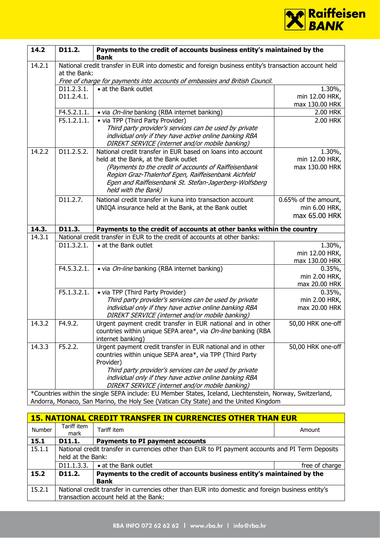

| 14.2   | D11.2.       | Payments to the credit of accounts business entity's maintained by the<br><b>Bank</b>                                                                        |                      |
|--------|--------------|--------------------------------------------------------------------------------------------------------------------------------------------------------------|----------------------|
| 14.2.1 | at the Bank: | National credit transfer in EUR into domestic and foreign business entity's transaction account held                                                         |                      |
|        |              | Free of charge for payments into accounts of embassies and British Council.                                                                                  |                      |
|        | D11.2.3.1.   | • at the Bank outlet                                                                                                                                         | 1.30%,               |
|        | D11.2.4.1.   |                                                                                                                                                              | min 12.00 HRK,       |
|        |              |                                                                                                                                                              | max 130.00 HRK       |
|        | F4.5.2.1.1.  | • via <i>On-line</i> banking (RBA internet banking)                                                                                                          | 2.00 HRK             |
|        | F5.1.2.1.1.  | • via TPP (Third Party Provider)                                                                                                                             | 2.00 HRK             |
|        |              | Third party provider's services can be used by private                                                                                                       |                      |
|        |              | individual only if they have active online banking RBA                                                                                                       |                      |
|        |              | DIREKT SERVICE (internet and/or mobile banking)                                                                                                              |                      |
| 14.2.2 | D11.2.5.2.   | National credit transfer in EUR based on loans into account                                                                                                  | $1.30\%$             |
|        |              | held at the Bank, at the Bank outlet                                                                                                                         | min 12.00 HRK,       |
|        |              | (Payments to the credit of accounts of Raiffeisenbank                                                                                                        | max 130.00 HRK       |
|        |              | Region Graz-Thalerhof Egen, Raiffeisenbank Aichfeld                                                                                                          |                      |
|        |              | Egen and Raiffeisenbank St. Stefan-Jagerberg-Wolfsberg                                                                                                       |                      |
|        |              | held with the Bank)                                                                                                                                          |                      |
|        | D11.2.7.     | National credit transfer in kuna into transaction account                                                                                                    | 0.65% of the amount, |
|        |              | UNIQA insurance held at the Bank, at the Bank outlet                                                                                                         | min 6.00 HRK,        |
|        |              |                                                                                                                                                              | max 65.00 HRK        |
|        |              |                                                                                                                                                              |                      |
| 14.3.  | D11.3.       | Payments to the credit of accounts at other banks within the country                                                                                         |                      |
| 14.3.1 |              | National credit transfer in EUR to the credit of accounts at other banks:                                                                                    |                      |
|        | D11.3.2.1.   | • at the Bank outlet                                                                                                                                         | $1.30\%$ ,           |
|        |              |                                                                                                                                                              | min 12.00 HRK,       |
|        |              |                                                                                                                                                              | max 130.00 HRK       |
|        | F4.5.3.2.1.  | • via On-line banking (RBA internet banking)                                                                                                                 | 0.35%                |
|        |              |                                                                                                                                                              | min 2.00 HRK,        |
|        |              |                                                                                                                                                              | max 20.00 HRK        |
|        | F5.1.3.2.1.  | • via TPP (Third Party Provider)                                                                                                                             | 0.35%                |
|        |              | Third party provider's services can be used by private                                                                                                       | min 2.00 HRK,        |
|        |              | individual only if they have active online banking RBA                                                                                                       | max 20.00 HRK        |
|        |              | DIREKT SERVICE (internet and/or mobile banking)                                                                                                              |                      |
| 14.3.2 | F4.9.2.      | Urgent payment credit transfer in EUR national and in other                                                                                                  | 50,00 HRK one-off    |
|        |              | countries within unique SEPA area*, via On-line banking (RBA                                                                                                 |                      |
|        |              | internet banking)                                                                                                                                            |                      |
| 14.3.3 | F5.2.2.      | Urgent payment credit transfer in EUR national and in other                                                                                                  | 50,00 HRK one-off    |
|        |              | countries within unique SEPA area*, via TPP (Third Party                                                                                                     |                      |
|        |              | Provider)                                                                                                                                                    |                      |
|        |              | Third party provider's services can be used by private                                                                                                       |                      |
|        |              | individual only if they have active online banking RBA                                                                                                       |                      |
|        |              | DIREKT SERVICE (internet and/or mobile banking)<br>*Countries within the single SEPA include: EU Member States, Iceland, Liechtenstein, Norway, Switzerland, |                      |

| <b>15. NATIONAL CREDIT TRANSFER IN CURRENCIES OTHER THAN EUR</b> |                                                                                                                        |                                                                        |                |  |
|------------------------------------------------------------------|------------------------------------------------------------------------------------------------------------------------|------------------------------------------------------------------------|----------------|--|
| Number                                                           | Tariff item<br>mark                                                                                                    | Tariff item                                                            | Amount         |  |
| 15.1                                                             | D11.1.<br>Payments to PI payment accounts                                                                              |                                                                        |                |  |
| 15.1.1                                                           | National credit transfer in currencies other than EUR to PI payment accounts and PI Term Deposits<br>held at the Bank: |                                                                        |                |  |
|                                                                  | D <sub>11</sub> , 1, 3, 3,                                                                                             | • at the Bank outlet                                                   | free of charge |  |
| 15.2                                                             | D11.2.                                                                                                                 | Payments to the credit of accounts business entity's maintained by the |                |  |
|                                                                  | <b>Bank</b>                                                                                                            |                                                                        |                |  |
| 15.2.1                                                           | National credit transfer in currencies other than EUR into domestic and foreign business entity's                      |                                                                        |                |  |
|                                                                  | transaction account held at the Bank:                                                                                  |                                                                        |                |  |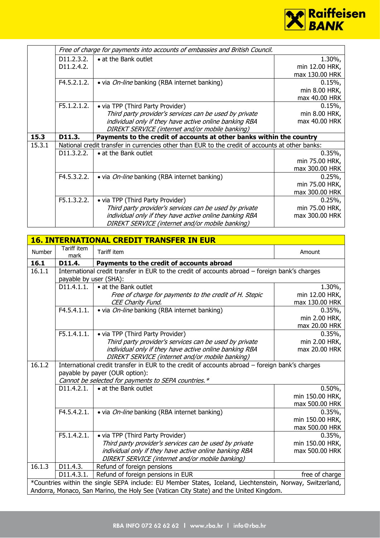

|        |                            | Free of charge for payments into accounts of embassies and British Council.                     |                |
|--------|----------------------------|-------------------------------------------------------------------------------------------------|----------------|
|        | D <sub>11</sub> , 2, 3, 2, | • at the Bank outlet                                                                            | $1.30\%$ ,     |
|        | D <sub>11</sub> , 2, 4, 2, |                                                                                                 | min 12.00 HRK, |
|        |                            |                                                                                                 | max 130.00 HRK |
|        | F4.5.2.1.2.                | • via <i>On-line</i> banking (RBA internet banking)                                             | 0.15%          |
|        |                            |                                                                                                 | min 8.00 HRK,  |
|        |                            |                                                                                                 | max 40.00 HRK  |
|        | F5.1.2.1.2.                | • via TPP (Third Party Provider)                                                                | 0.15%          |
|        |                            | Third party provider's services can be used by private                                          | min 8.00 HRK,  |
|        |                            | individual only if they have active online banking RBA                                          | max 40.00 HRK  |
|        |                            | DIREKT SERVICE (internet and/or mobile banking)                                                 |                |
| 15.3   | D11.3.                     | Payments to the credit of accounts at other banks within the country                            |                |
| 15.3.1 |                            | National credit transfer in currencies other than EUR to the credit of accounts at other banks: |                |
|        | D11.3.2.2.                 | • at the Bank outlet                                                                            | $0.35\%$       |
|        |                            |                                                                                                 | min 75.00 HRK, |
|        |                            |                                                                                                 | max 300.00 HRK |
|        | F4.5.3.2.2.                | • via <i>On-line</i> banking (RBA internet banking)                                             | 0.25%          |
|        |                            |                                                                                                 | min 75.00 HRK, |
|        |                            |                                                                                                 | max 300.00 HRK |
|        | F5.1.3.2.2.                | • via TPP (Third Party Provider)                                                                | 0.25%          |
|        |                            | Third party provider's services can be used by private                                          | min 75.00 HRK, |
|        |                            | individual only if they have active online banking RBA                                          | max 300.00 HRK |
|        |                            | DIREKT SERVICE (internet and/or mobile banking)                                                 |                |

| <b>16. INTERNATIONAL CREDIT TRANSFER IN EUR</b> |                                                                                        |                                                                                                                  |                          |  |
|-------------------------------------------------|----------------------------------------------------------------------------------------|------------------------------------------------------------------------------------------------------------------|--------------------------|--|
| Number                                          | Tariff item<br>mark                                                                    | Tariff item                                                                                                      | Amount                   |  |
| 16.1                                            | D11.4.                                                                                 | Payments to the credit of accounts abroad                                                                        |                          |  |
| 16.1.1                                          |                                                                                        | International credit transfer in EUR to the credit of accounts abroad - foreign bank's charges                   |                          |  |
|                                                 |                                                                                        | payable by user (SHA):                                                                                           |                          |  |
|                                                 | D11.4.1.1.                                                                             | • at the Bank outlet                                                                                             | 1.30%,                   |  |
|                                                 |                                                                                        | Free of charge for payments to the credit of H. Stepic                                                           | min 12.00 HRK,           |  |
|                                                 |                                                                                        | CEE Charity Fund.                                                                                                | max 130.00 HRK           |  |
|                                                 | F4.5.4.1.1.                                                                            | • via On-line banking (RBA internet banking)                                                                     | 0.35%                    |  |
|                                                 |                                                                                        |                                                                                                                  | min 2.00 HRK,            |  |
|                                                 |                                                                                        |                                                                                                                  | max 20.00 HRK            |  |
|                                                 | F5.1.4.1.1.                                                                            | • via TPP (Third Party Provider)                                                                                 | 0.35%                    |  |
|                                                 |                                                                                        | Third party provider's services can be used by private                                                           | min 2.00 HRK,            |  |
|                                                 |                                                                                        | individual only if they have active online banking RBA                                                           | max 20.00 HRK            |  |
|                                                 |                                                                                        | DIREKT SERVICE (internet and/or mobile banking)                                                                  |                          |  |
| 16.1.2                                          |                                                                                        | International credit transfer in EUR to the credit of accounts abroad - foreign bank's charges                   |                          |  |
|                                                 |                                                                                        | payable by payer (OUR option):                                                                                   |                          |  |
|                                                 |                                                                                        | Cannot be selected for payments to SEPA countries.*                                                              |                          |  |
|                                                 | D11.4.2.1.                                                                             | • at the Bank outlet                                                                                             | $0.50\%$                 |  |
|                                                 |                                                                                        |                                                                                                                  | min 150.00 HRK,          |  |
|                                                 |                                                                                        |                                                                                                                  | max 500.00 HRK           |  |
|                                                 | F4.5.4.2.1.                                                                            | · via On-line banking (RBA internet banking)                                                                     | 0.35%                    |  |
|                                                 |                                                                                        |                                                                                                                  | min 150.00 HRK,          |  |
|                                                 | F5.1.4.2.1.                                                                            |                                                                                                                  | max 500.00 HRK           |  |
|                                                 |                                                                                        | • via TPP (Third Party Provider)                                                                                 | 0.35%<br>min 150.00 HRK, |  |
|                                                 |                                                                                        | Third party provider's services can be used by private<br>individual only if they have active online banking RBA | max 500.00 HRK           |  |
|                                                 |                                                                                        | DIREKT SERVICE (internet and/or mobile banking)                                                                  |                          |  |
| 16.1.3                                          | D11.4.3.                                                                               | Refund of foreign pensions                                                                                       |                          |  |
|                                                 | D11.4.3.1.                                                                             |                                                                                                                  |                          |  |
|                                                 |                                                                                        | Refund of foreign pensions in EUR                                                                                | free of charge           |  |
|                                                 |                                                                                        | *Countries within the single SEPA include: EU Member States, Iceland, Liechtenstein, Norway, Switzerland,        |                          |  |
|                                                 | Andorra, Monaco, San Marino, the Holy See (Vatican City State) and the United Kingdom. |                                                                                                                  |                          |  |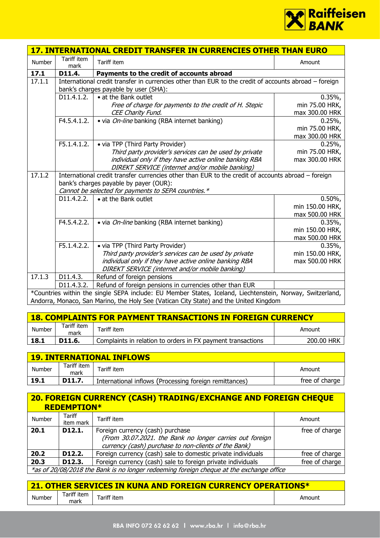

|                     |                     | 17. INTERNATIONAL CREDIT TRANSFER IN CURRENCIES OTHER THAN EURO                                           |                 |
|---------------------|---------------------|-----------------------------------------------------------------------------------------------------------|-----------------|
| Number              | Tariff item<br>mark | Tariff item                                                                                               | Amount          |
| 17.1                | D11.4.              | Payments to the credit of accounts abroad                                                                 |                 |
| $\overline{17.1.1}$ |                     | International credit transfer in currencies other than EUR to the credit of accounts abroad - foreign     |                 |
|                     |                     | bank's charges payable by user (SHA):                                                                     |                 |
|                     | D11.4.1.2.          | • at the Bank outlet                                                                                      | 0.35%           |
|                     |                     | Free of charge for payments to the credit of H. Stepic                                                    | min 75.00 HRK,  |
|                     |                     | CEE Charity Fund.                                                                                         | max 300.00 HRK  |
|                     | F4.5.4.1.2.         | • via <i>On-line</i> banking (RBA internet banking)                                                       | 0.25%           |
|                     |                     |                                                                                                           | min 75.00 HRK,  |
|                     |                     |                                                                                                           | max 300.00 HRK  |
|                     | F5.1.4.1.2.         | • via TPP (Third Party Provider)                                                                          | 0.25%           |
|                     |                     | Third party provider's services can be used by private                                                    | min 75.00 HRK,  |
|                     |                     | individual only if they have active online banking RBA                                                    | max 300.00 HRK  |
|                     |                     | DIREKT SERVICE (internet and/or mobile banking)                                                           |                 |
| 17.1.2              |                     | International credit transfer currencies other than EUR to the credit of accounts abroad - foreign        |                 |
|                     |                     | bank's charges payable by payer (OUR):                                                                    |                 |
|                     |                     | Cannot be selected for payments to SEPA countries.*                                                       |                 |
|                     | D11.4.2.2.          | • at the Bank outlet                                                                                      | $0.50\%$        |
|                     |                     |                                                                                                           | min 150.00 HRK, |
|                     |                     |                                                                                                           | max 500.00 HRK  |
|                     | F4.5.4.2.2.         | • via <i>On-line</i> banking (RBA internet banking)                                                       | 0.35%           |
|                     |                     |                                                                                                           | min 150.00 HRK, |
|                     |                     |                                                                                                           | max 500.00 HRK  |
|                     | F5.1.4.2.2.         | • via TPP (Third Party Provider)                                                                          | 0.35%           |
|                     |                     | Third party provider's services can be used by private                                                    | min 150.00 HRK, |
|                     |                     | individual only if they have active online banking RBA                                                    | max 500.00 HRK  |
|                     |                     | DIREKT SERVICE (internet and/or mobile banking)                                                           |                 |
| 17.1.3              | D11.4.3.            | Refund of foreign pensions                                                                                |                 |
|                     | D11.4.3.2.          | Refund of foreign pensions in currencies other than EUR                                                   |                 |
|                     |                     | *Countries within the single SEPA include: EU Member States, Iceland, Liechtenstein, Norway, Switzerland, |                 |
|                     |                     | Andorra, Monaco, San Marino, the Holy See (Vatican City State) and the United Kingdom                     |                 |

| <b>18. COMPLAINTS FOR PAYMENT TRANSACTIONS IN FOREIGN CURRENCY</b> |                     |                                                             |            |  |
|--------------------------------------------------------------------|---------------------|-------------------------------------------------------------|------------|--|
| Number                                                             | Tariff item<br>mark | Tariff item                                                 | Amount     |  |
| 18.1                                                               | D11.6.              | Complaints in relation to orders in FX payment transactions | 200.00 HRK |  |

| <b>19. INTERNATIONAL INFLOWS</b> |                     |                                                        |                |  |  |
|----------------------------------|---------------------|--------------------------------------------------------|----------------|--|--|
| Number                           | Tariff item<br>mark | Tariff item                                            | Amount         |  |  |
| 19.1                             | D11.7.              | International inflows (Processing foreign remittances) | free of charge |  |  |

## **20. FOREIGN CURRENCY (CASH) TRADING/EXCHANGE AND FOREIGN CHEQUE REDEMPTION\***

| Number                                                                                  | Tariff<br>item mark                        | Tariff item                                                  | Amount         |  |  |
|-----------------------------------------------------------------------------------------|--------------------------------------------|--------------------------------------------------------------|----------------|--|--|
| 20.1                                                                                    | D12.1.<br>Foreign currency (cash) purchase |                                                              | free of charge |  |  |
|                                                                                         |                                            | (From 30.07.2021. the Bank no longer carries out foreign     |                |  |  |
|                                                                                         |                                            | currency (cash) purchase to non-clients of the Bank)         |                |  |  |
| 20.2                                                                                    | D12.2.                                     | Foreign currency (cash) sale to domestic private individuals | free of charge |  |  |
| 20.3                                                                                    | D <sub>12.3</sub> .                        | Foreign currency (cash) sale to foreign private individuals  | free of charge |  |  |
| *as of 20/08/2018 the Bank is no longer redeeming foreign cheque at the exchange office |                                            |                                                              |                |  |  |

| 21. OTHER SERVICES IN KUNA AND FOREIGN CURRENCY OPERATIONS* |             |                         |        |  |  |  |
|-------------------------------------------------------------|-------------|-------------------------|--------|--|--|--|
| Number                                                      | Tariff item | ariff item <sup>-</sup> | Amount |  |  |  |
|                                                             | mark        |                         |        |  |  |  |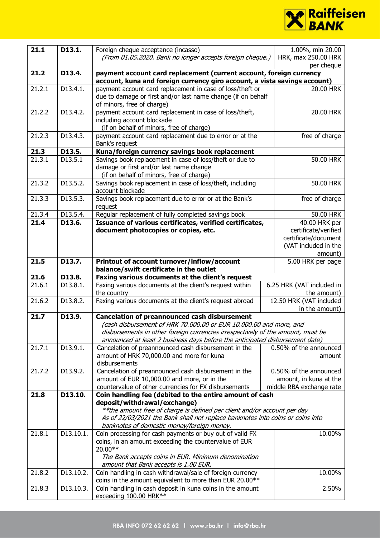

| 21.1             | D13.1.                 | Foreign cheque acceptance (incasso)<br>1.00%, min 20.00                                                                                                                                                                                                                                       |                                                                                                  |  |  |
|------------------|------------------------|-----------------------------------------------------------------------------------------------------------------------------------------------------------------------------------------------------------------------------------------------------------------------------------------------|--------------------------------------------------------------------------------------------------|--|--|
|                  |                        | (From 01.05.2020. Bank no longer accepts foreign cheque.)<br>HRK, max 250.00 HRK<br>per cheque                                                                                                                                                                                                |                                                                                                  |  |  |
| 21.2             | D13.4.                 | payment account card replacement (current account, foreign currency                                                                                                                                                                                                                           |                                                                                                  |  |  |
|                  |                        | account, kuna and foreign currency giro account, a vista savings account)                                                                                                                                                                                                                     |                                                                                                  |  |  |
| 21.2.1           | D13.4.1.               | payment account card replacement in case of loss/theft or<br>due to damage or first and/or last name change (if on behalf<br>of minors, free of charge)                                                                                                                                       | 20.00 HRK                                                                                        |  |  |
| 21.2.2           | D13.4.2.               | payment account card replacement in case of loss/theft,<br>including account blockade<br>(if on behalf of minors, free of charge)                                                                                                                                                             | 20.00 HRK                                                                                        |  |  |
| 21.2.3           | D13.4.3.               | payment account card replacement due to error or at the<br>Bank's request                                                                                                                                                                                                                     | free of charge                                                                                   |  |  |
| 21.3             | D13.5.                 | Kuna/foreign currency savings book replacement                                                                                                                                                                                                                                                |                                                                                                  |  |  |
| 21.3.1           | D13.5.1                | Savings book replacement in case of loss/theft or due to<br>damage or first and/or last name change<br>(if on behalf of minors, free of charge)                                                                                                                                               | 50.00 HRK                                                                                        |  |  |
| 21.3.2           | D13.5.2.               | Savings book replacement in case of loss/theft, including<br>account blockade                                                                                                                                                                                                                 | 50.00 HRK                                                                                        |  |  |
| 21.3.3           | D13.5.3.               | Savings book replacement due to error or at the Bank's<br>request                                                                                                                                                                                                                             | free of charge                                                                                   |  |  |
| 21.3.4           | D13.5.4.               | Regular replacement of fully completed savings book                                                                                                                                                                                                                                           | 50.00 HRK                                                                                        |  |  |
| 21.4             | D13.6.                 | Issuance of various certificates, verified certificates,<br>document photocopies or copies, etc.                                                                                                                                                                                              | 40.00 HRK per<br>certificate/verified<br>certificate/document<br>(VAT included in the<br>amount) |  |  |
| 21.5             | D13.7.                 | Printout of account turnover/inflow/account<br>balance/swift certificate in the outlet                                                                                                                                                                                                        | 5.00 HRK per page                                                                                |  |  |
| 21.6             | D13.8.                 | Faxing various documents at the client's request                                                                                                                                                                                                                                              |                                                                                                  |  |  |
| 21.6.1           | D13.8.1.               | Faxing various documents at the client's request within<br>the country                                                                                                                                                                                                                        | 6.25 HRK (VAT included in<br>the amount)                                                         |  |  |
| 21.6.2           | D13.8.2.               | Faxing various documents at the client's request abroad                                                                                                                                                                                                                                       | 12.50 HRK (VAT included<br>in the amount)                                                        |  |  |
| 21.7             | D13.9.                 | <b>Cancelation of preannounced cash disbursement</b><br>(cash disbursement of HRK 70.000.00 or EUR 10.000.00 and more, and<br>disbursements in other foreign currencies irrespectively of the amount, must be<br>announced at least 2 business days before the anticipated disbursement date) |                                                                                                  |  |  |
| 21.7.1           | D13.9.1.               | Cancelation of preannounced cash disbursement in the<br>amount of HRK 70,000.00 and more for kuna<br>disbursements                                                                                                                                                                            | 0.50% of the announced<br>amount                                                                 |  |  |
| 21.7.2           | D13.9.2.               | Cancelation of preannounced cash disbursement in the<br>amount of EUR 10,000.00 and more, or in the<br>countervalue of other currencies for FX disbursements                                                                                                                                  | 0.50% of the announced<br>amount, in kuna at the<br>middle RBA exchange rate                     |  |  |
| 21.8             | D13.10.                |                                                                                                                                                                                                                                                                                               |                                                                                                  |  |  |
|                  |                        | Coin handling fee (debited to the entire amount of cash                                                                                                                                                                                                                                       |                                                                                                  |  |  |
|                  |                        | deposit/withdrawal/exchange)<br>**the amount free of charge is defined per client and/or account per day<br>As of 22/03/2021 the Bank shall not replace banknotes into coins or coins into<br>banknotes of domestic money/foreign money.                                                      |                                                                                                  |  |  |
| 21.8.1           | D13.10.1.              | Coin processing for cash payments or buy out of valid FX<br>coins, in an amount exceeding the countervalue of EUR<br>20.00**<br>The Bank accepts coins in EUR. Minimum denomination<br>amount that Bank accepts is 1.00 EUR.                                                                  | 10.00%                                                                                           |  |  |
| 21.8.2<br>21.8.3 | D13.10.2.<br>D13.10.3. | Coin handling in cash withdrawal/sale of foreign currency<br>coins in the amount equivalent to more than EUR 20.00**<br>Coin handling in cash deposit in kuna coins in the amount                                                                                                             | 10.00%<br>2.50%                                                                                  |  |  |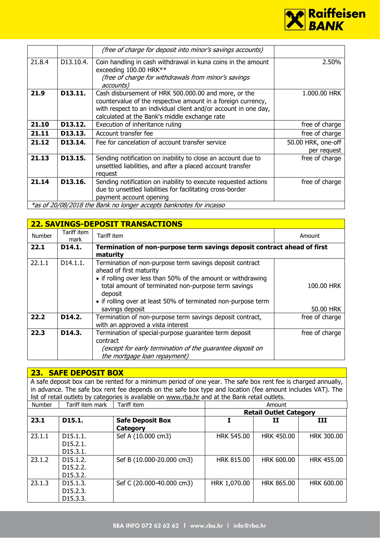

|        |                          | (free of charge for deposit into minor's savings accounts)                                                                                                                                                                               |                                   |
|--------|--------------------------|------------------------------------------------------------------------------------------------------------------------------------------------------------------------------------------------------------------------------------------|-----------------------------------|
| 21.8.4 | D <sub>13</sub> , 10, 4, | Coin handling in cash withdrawal in kuna coins in the amount<br>exceeding 100.00 HRK**<br>(free of charge for withdrawals from minor's savings<br>accounts)                                                                              | 2.50%                             |
| 21.9   | D13.11.                  | Cash disbursement of HRK 500.000.00 and more, or the<br>countervalue of the respective amount in a foreign currency,<br>with respect to an individual client and/or account in one day,<br>calculated at the Bank's middle exchange rate | 1.000.00 HRK                      |
| 21.10  | D13.12.                  | Execution of inheritance ruling                                                                                                                                                                                                          | free of charge                    |
| 21.11  | D13.13.                  | Account transfer fee                                                                                                                                                                                                                     | free of charge                    |
| 21.12  | D13.14.                  | Fee for cancelation of account transfer service                                                                                                                                                                                          | 50.00 HRK, one-off<br>per request |
| 21.13  | D13.15.                  | Sending notification on inability to close an account due to<br>unsettled liabilities, and after a placed account transfer<br>request                                                                                                    | free of charge                    |
| 21.14  | D13.16.                  | Sending notification on inability to execute requested actions<br>due to unsettled liabilities for facilitating cross-border<br>payment account opening                                                                                  | free of charge                    |
|        |                          | *as of 20/08/2018 the Bank no longer accepts banknotes for incasso                                                                                                                                                                       |                                   |

|               | <b>22. SAVINGS-DEPOSIT TRANSACTIONS</b> |                                                                                                                                                                                                                                                                                                           |                         |  |  |  |  |
|---------------|-----------------------------------------|-----------------------------------------------------------------------------------------------------------------------------------------------------------------------------------------------------------------------------------------------------------------------------------------------------------|-------------------------|--|--|--|--|
| <b>Number</b> | Tariff item<br>mark                     | Tariff item                                                                                                                                                                                                                                                                                               | Amount                  |  |  |  |  |
| 22.1          | D14.1.                                  | Termination of non-purpose term savings deposit contract ahead of first<br>maturity                                                                                                                                                                                                                       |                         |  |  |  |  |
| 22.1.1        | D14.1.1.                                | Termination of non-purpose term savings deposit contract<br>ahead of first maturity<br>• if rolling over less than 50% of the amount or withdrawing<br>total amount of terminated non-purpose term savings<br>deposit<br>• if rolling over at least 50% of terminated non-purpose term<br>savings deposit | 100.00 HRK<br>50.00 HRK |  |  |  |  |
| 22.2          | D14.2.                                  | Termination of non-purpose term savings deposit contract,<br>with an approved a vista interest                                                                                                                                                                                                            | free of charge          |  |  |  |  |
| 22.3          | D14.3.                                  | Termination of special-purpose guarantee term deposit<br>contract<br>(except for early termination of the guarantee deposit on<br>the mortgage loan repayment)                                                                                                                                            | free of charge          |  |  |  |  |

**23. SAFE DEPOSIT BOX** A safe deposit box can be rented for a minimum period of one year. The safe box rent fee is charged annually, in advance. The safe box rent fee depends on the safe box type and location (fee amount includes VAT). The list of retail outlets by categories is available on [www.rba.hr](http://www.rba.hr/) and at the Bank retail outlets. Number Tariff item mark Tariff item **Tariff item Tariff item** Amount **Retail Outlet Category 23.1 D15.1. Safe Deposit Box Category I II III**  $23.1.1$  D15.1.1. D15.2.1. D15.3.1. Sef A (10.000 cm3) | HRK 545.00 | HRK 450.00 | HRK 300.00 23.1.2 D15.1.2. D15.2.2. D15.3.2. Sef B (10.000-20.000 cm3) HRK 815.00 HRK 600.00 HRK 455.00 23.1.3 D15.1.3. D15.2.3. D15.3.3. Sef C (20.000-40.000 cm3) | HRK 1,070.00 | HRK 865.00 | HRK 600.00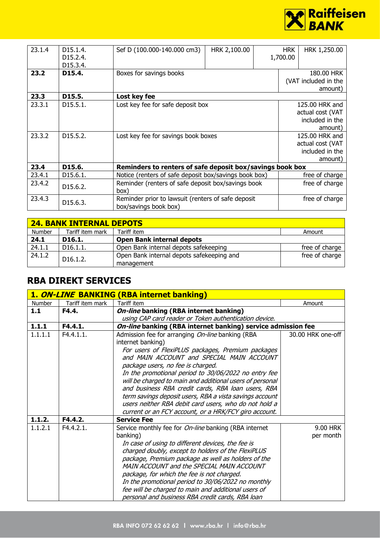

| 23.1.4 | D <sub>15</sub> .1.4.<br>D <sub>15</sub> , 2, 4,<br>D15.3.4. | Sef D (100.000-140.000 cm3)                                                 | HRK 2,100.00 | <b>HRK</b><br>1,700.00 | HRK 1,250.00                    |
|--------|--------------------------------------------------------------|-----------------------------------------------------------------------------|--------------|------------------------|---------------------------------|
| 23.2   | D15.4.                                                       | Boxes for savings books                                                     |              |                        | 180.00 HRK                      |
|        |                                                              |                                                                             |              |                        | (VAT included in the<br>amount) |
| 23.3   | D15.5.                                                       | Lost key fee                                                                |              |                        |                                 |
| 23.3.1 | D <sub>15</sub> .5.1.                                        | Lost key fee for safe deposit box                                           |              |                        | 125.00 HRK and                  |
|        |                                                              |                                                                             |              |                        | actual cost (VAT                |
|        |                                                              |                                                                             |              |                        | included in the                 |
|        |                                                              |                                                                             |              |                        | amount)                         |
| 23.3.2 | D <sub>15</sub> .5.2.                                        | Lost key fee for savings book boxes                                         |              |                        | 125.00 HRK and                  |
|        |                                                              |                                                                             |              |                        | actual cost (VAT                |
|        |                                                              |                                                                             |              |                        | included in the                 |
|        |                                                              |                                                                             |              |                        | amount)                         |
| 23.4   | D15.6.                                                       | Reminders to renters of safe deposit box/savings book box                   |              |                        |                                 |
| 23.4.1 | D <sub>15</sub> .6.1.                                        | Notice (renters of safe deposit box/savings book box)                       |              |                        | free of charge                  |
| 23.4.2 | D <sub>15</sub> .6.2.                                        | Reminder (renters of safe deposit box/savings book<br>box)                  |              |                        | free of charge                  |
| 23.4.3 | D15.6.3.                                                     | Reminder prior to lawsuit (renters of safe deposit<br>box/savings book box) |              |                        | free of charge                  |

| <b>24. BANK INTERNAL DEPOTS</b> |                       |                                                         |                |  |  |  |
|---------------------------------|-----------------------|---------------------------------------------------------|----------------|--|--|--|
| <b>Number</b>                   | Tariff item mark      | Tariff item                                             | Amount         |  |  |  |
| 24.1                            | D <sub>16.1</sub>     | <b>Open Bank internal depots</b>                        |                |  |  |  |
| 24.1.1                          | D16.1.1.              | Open Bank internal depots safekeeping                   | free of charge |  |  |  |
| 24.1.2                          | D <sub>16</sub> .1.2. | Open Bank internal depots safekeeping and<br>management | free of charge |  |  |  |

## **RBA DIREKT SERVICES**

|         |                  | 1. ON-LINE BANKING (RBA internet banking)                                      |                   |
|---------|------------------|--------------------------------------------------------------------------------|-------------------|
| Number  | Tariff item mark | <b>Tariff item</b>                                                             | Amount            |
| 1.1     | F4.4.            | On-line banking (RBA internet banking)                                         |                   |
|         |                  | using CAP card reader or Token authentication device.                          |                   |
| 1.1.1   | F4.4.1.          | On-line banking (RBA internet banking) service admission fee                   |                   |
| 1.1.1.1 | F4.4.1.1.        | Admission fee for arranging On-line banking (RBA<br>internet banking)          | 30.00 HRK one-off |
|         |                  |                                                                                |                   |
|         |                  | For users of FlexiPLUS packages, Premium packages                              |                   |
|         |                  | and MAIN ACCOUNT and SPECIAL MAIN ACCOUNT<br>package users, no fee is charged. |                   |
|         |                  | In the promotional period to 30/06/2022 no entry fee                           |                   |
|         |                  | will be charged to main and additional users of personal                       |                   |
|         |                  | and business RBA credit cards, RBA loan users, RBA                             |                   |
|         |                  | term savings deposit users, RBA a vista savings account                        |                   |
|         |                  | users neither RBA debit card users, who do not hold a                          |                   |
|         |                  | current or an FCY account, or a HRK/FCY giro account.                          |                   |
| 1.1.2.  | F4.4.2.          | <b>Service Fee</b>                                                             |                   |
| 1.1.2.1 | F4.4.2.1.        | Service monthly fee for <i>On-line</i> banking (RBA internet                   | 9.00 HRK          |
|         |                  | banking)                                                                       | per month         |
|         |                  | In case of using to different devices, the fee is                              |                   |
|         |                  | charged doubly, except to holders of the FlexiPLUS                             |                   |
|         |                  | package, Premium package as well as holders of the                             |                   |
|         |                  | MAIN ACCOUNT and the SPECIAL MAIN ACCOUNT                                      |                   |
|         |                  | package, for which the fee is not charged.                                     |                   |
|         |                  | In the promotional period to 30/06/2022 no monthly                             |                   |
|         |                  | fee will be charged to main and additional users of                            |                   |
|         |                  | personal and business RBA credit cards, RBA loan                               |                   |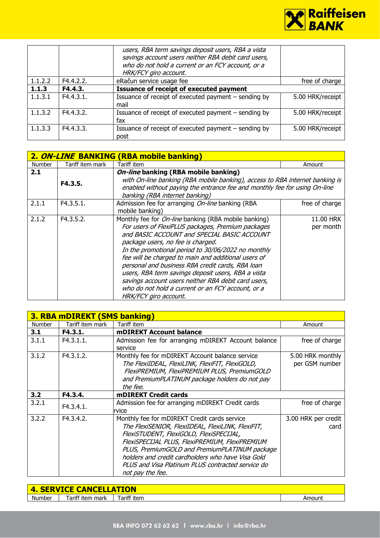

|         |           | users, RBA term savings deposit users, RBA a vista<br>savings account users neither RBA debit card users,<br>who do not hold a current or an FCY account, or a<br>HRK/FCY giro account. |                  |
|---------|-----------|-----------------------------------------------------------------------------------------------------------------------------------------------------------------------------------------|------------------|
| 1.1.2.2 | F4.4.2.2. | eRačun service usage fee                                                                                                                                                                | free of charge   |
| 1.1.3   | F4.4.3.   | <b>Issuance of receipt of executed payment</b>                                                                                                                                          |                  |
| 1.1.3.1 | F4.4.3.1. | Issuance of receipt of executed payment – sending by<br>mail                                                                                                                            | 5.00 HRK/receipt |
| 1.1.3.2 | F4.4.3.2. | Issuance of receipt of executed payment - sending by<br>fax                                                                                                                             | 5.00 HRK/receipt |
| 1.1.3.3 | F4.4.3.3. | Issuance of receipt of executed payment – sending by<br>post                                                                                                                            | 5.00 HRK/receipt |

|               | 2. ON-LINE BANKING (RBA mobile banking) |                                                                                                                                                                                                                                                                                                                                                                                                                                                                                                                                                                  |                        |  |  |  |
|---------------|-----------------------------------------|------------------------------------------------------------------------------------------------------------------------------------------------------------------------------------------------------------------------------------------------------------------------------------------------------------------------------------------------------------------------------------------------------------------------------------------------------------------------------------------------------------------------------------------------------------------|------------------------|--|--|--|
| <b>Number</b> | Tariff item mark                        | Tariff item                                                                                                                                                                                                                                                                                                                                                                                                                                                                                                                                                      | Amount                 |  |  |  |
| 2.1           |                                         | On-line banking (RBA mobile banking)                                                                                                                                                                                                                                                                                                                                                                                                                                                                                                                             |                        |  |  |  |
|               | F4.3.5.                                 | with On-line banking (RBA mobile banking), access to RBA internet banking is<br>enabled without paying the entrance fee and monthly fee for using On-line<br>banking (RBA internet banking)                                                                                                                                                                                                                                                                                                                                                                      |                        |  |  |  |
| 2.1.1         | F4.3.5.1.                               | Admission fee for arranging On-line banking (RBA<br>mobile banking)                                                                                                                                                                                                                                                                                                                                                                                                                                                                                              | free of charge         |  |  |  |
| 2.1.2         | F4.3.5.2.                               | Monthly fee for <i>On-line</i> banking (RBA mobile banking)<br>For users of FlexiPLUS packages, Premium packages<br>and BASIC ACCOUNT and SPECIAL BASIC ACCOUNT<br>package users, no fee is charged.<br>In the promotional period to 30/06/2022 no monthly<br>fee will be charged to main and additional users of<br>personal and business RBA credit cards, RBA loan<br>users, RBA term savings deposit users, RBA a vista<br>savings account users neither RBA debit card users,<br>who do not hold a current or an FCY account, or a<br>HRK/FCY giro account. | 11.00 HRK<br>per month |  |  |  |

| <b>3. RBA mDIREKT (SMS banking)</b> |                  |                                                                                                                                                                                                                                                                                                                                                                               |                                    |  |  |
|-------------------------------------|------------------|-------------------------------------------------------------------------------------------------------------------------------------------------------------------------------------------------------------------------------------------------------------------------------------------------------------------------------------------------------------------------------|------------------------------------|--|--|
| <b>Number</b>                       | Tariff item mark | Tariff item                                                                                                                                                                                                                                                                                                                                                                   | Amount                             |  |  |
| 3.1                                 | F4.3.1.          | <b>mDIREKT Account balance</b>                                                                                                                                                                                                                                                                                                                                                |                                    |  |  |
| 3.1.1                               | F4.3.1.1.        | Admission fee for arranging mDIREKT Account balance<br>service                                                                                                                                                                                                                                                                                                                | free of charge                     |  |  |
| 3.1.2                               | F4.3.1.2.        | Monthly fee for mDIREKT Account balance service<br>The FlexiIDEAL, FlexiLINK, FlexiFIT, FlexiGOLD,<br>FlexiPREMIUM, FlexiPREMIUM PLUS, PremiumGOLD<br>and PremiumPLATINUM package holders do not pay<br>the fee.                                                                                                                                                              | 5.00 HRK monthly<br>per GSM number |  |  |
| 3.2                                 | F4.3.4.          | <b>mDIREKT Credit cards</b>                                                                                                                                                                                                                                                                                                                                                   |                                    |  |  |
| 3.2.1                               | F4.3.4.1.        | Admission fee for arranging mDIREKT Credit cards<br>rvice                                                                                                                                                                                                                                                                                                                     | free of charge                     |  |  |
| 3.2.2                               | F4.3.4.2.        | Monthly fee for mDIREKT Credit cards service<br>The FlexiSENIOR, FlexiIDEAL, FlexiLINK, FlexiFIT,<br>FlexiSTUDENT, FlexiGOLD, FlexiSPECIJAL,<br>FlexiSPECIJAL PLUS, FlexiPREMIUM, FlexiPREMIUM<br>PLUS, PremiumGOLD and PremiumPLATINUM package<br>holders and credit cardholders who have Visa Gold<br>PLUS and Visa Platinum PLUS contracted service do<br>not pay the fee. | 3.00 HRK per credit<br>card        |  |  |

| <b>4. SERVICE CANCELLATION</b> |                     |             |        |
|--------------------------------|---------------------|-------------|--------|
| Number                         | Tariff item<br>mark | Tariff item | Amount |
|                                |                     |             |        |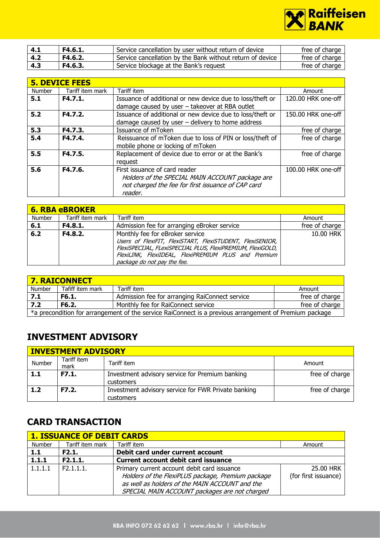

| 4.1 | F4.6.1. | Service cancellation by user without return of device     | free of charge |
|-----|---------|-----------------------------------------------------------|----------------|
| 4.2 | F4.6.2. | Service cancellation by the Bank without return of device | free of charge |
| 4.3 | F4.6.3. | Service blockage at the Bank's request                    | free of charge |

|        | <b>5. DEVICE FEES</b> |                                                           |                    |  |  |
|--------|-----------------------|-----------------------------------------------------------|--------------------|--|--|
| Number | Tariff item mark      | Tariff item                                               | Amount             |  |  |
| 5.1    | F4.7.1.               | Issuance of additional or new device due to loss/theft or | 120.00 HRK one-off |  |  |
|        |                       | damage caused by user - takeover at RBA outlet            |                    |  |  |
| 5.2    | F4.7.2.               | Issuance of additional or new device due to loss/theft or | 150.00 HRK one-off |  |  |
|        |                       | damage caused by user $-$ delivery to home address        |                    |  |  |
| 5.3    | F4.7.3.               | Issuance of mToken                                        | free of charge     |  |  |
| 5.4    | F4.7.4.               | Reissuance of mToken due to loss of PIN or loss/theft of  | free of charge     |  |  |
|        |                       | mobile phone or locking of mToken                         |                    |  |  |
| 5.5    | F4.7.5.               | Replacement of device due to error or at the Bank's       | free of charge     |  |  |
|        |                       | request                                                   |                    |  |  |
| 5.6    | F4.7.6.               | First issuance of card reader                             | 100.00 HRK one-off |  |  |
|        |                       | Holders of the SPECIAL MAIN ACCOUNT package are           |                    |  |  |
|        |                       | not charged the fee for first issuance of CAP card        |                    |  |  |
|        |                       | reader.                                                   |                    |  |  |

| <b>6. RBA eBROKER</b> |                  |                                                                                                                                                                                                                                                    |                |  |
|-----------------------|------------------|----------------------------------------------------------------------------------------------------------------------------------------------------------------------------------------------------------------------------------------------------|----------------|--|
| Number                | Tariff item mark | Tariff item                                                                                                                                                                                                                                        | Amount         |  |
| 6.1                   | F4.8.1.          | Admission fee for arranging eBroker service                                                                                                                                                                                                        | free of charge |  |
| $6.2$                 | F4.8.2.          | Monthly fee for eBroker service<br>Users of FlexiFIT, FlexiSTART, FlexiSTUDENT, FlexiSENIOR,<br>FlexiSPECIJAL, FLexiSPECIJAL PLUS, FlexiPREMIUM, FlexiGOLD,<br>FlexiLINK, FlexiIDEAL, FlexiPREMIUM PLUS and Premium<br>package do not pay the fee. | 10.00 HRK      |  |

| <b>7. RAICONNECT</b>                                                                                   |                  |                                                |                |  |
|--------------------------------------------------------------------------------------------------------|------------------|------------------------------------------------|----------------|--|
| <b>Number</b>                                                                                          | Tafiff item mark | Tariff item                                    | Amount         |  |
| 7.1                                                                                                    | F6.1.            | Admission fee for arranging RaiConnect service | free of charge |  |
| 7.2                                                                                                    | F6.2.            | Monthly fee for RaiConnect service             | free of charge |  |
| *a precondition for arrangement of the service RaiConnect is a previous arrangement of Premium package |                  |                                                |                |  |

# **INVESTMENT ADVISORY**

| <b>INVESTMENT ADVISORY</b> |                     |                                                                  |                |  |
|----------------------------|---------------------|------------------------------------------------------------------|----------------|--|
| Number                     | Tariff item<br>mark | Tariff item                                                      | Amount         |  |
| 1.1                        | F7.1.               | Investment advisory service for Premium banking<br>customers     | free of charge |  |
| 1.2                        | F7.2.               | Investment advisory service for FWR Private banking<br>customers | free of charge |  |

# **CARD TRANSACTION**

| <b>1. ISSUANCE OF DEBIT CARDS</b> |                  |                                                                                                                                                                                                     |                                   |  |
|-----------------------------------|------------------|-----------------------------------------------------------------------------------------------------------------------------------------------------------------------------------------------------|-----------------------------------|--|
| Number                            | Tariff item mark | Tariff item                                                                                                                                                                                         | Amount                            |  |
| $1.1$                             | F2.1.            | Debit card under current account                                                                                                                                                                    |                                   |  |
| 1.1.1                             | F2.1.1.          | <b>Current account debit card issuance</b>                                                                                                                                                          |                                   |  |
| 1.1.1.1                           | F2.1.1.1.        | Primary current account debit card issuance<br>Holders of the FlexiPLUS package, Premium package<br>as well as holders of the MAIN ACCOUNT and the<br>SPECIAL MAIN ACCOUNT packages are not charged | 25.00 HRK<br>(for first issuance) |  |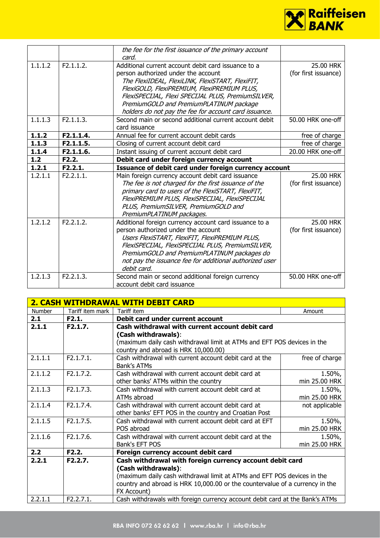

|            |           | the fee for the first issuance of the primary account   |                      |
|------------|-----------|---------------------------------------------------------|----------------------|
|            |           | card.                                                   |                      |
| 1.1.1.2    | F2.1.1.2. | Additional current account debit card issuance to a     | 25.00 HRK            |
|            |           | person authorized under the account                     | (for first issuance) |
|            |           | The FlexiIDEAL, FlexiLINK, FlexiSTART, FlexiFIT,        |                      |
|            |           | FlexiGOLD, FlexiPREMIUM, FlexiPREMIUM PLUS,             |                      |
|            |           | FlexiSPECIJAL, Flexi SPECIJAL PLUS, PremiumSILVER,      |                      |
|            |           | PremiumGOLD and PremiumPLATINUM package                 |                      |
|            |           | holders do not pay the fee for account card issuance.   |                      |
| 1.1.1.3    | F2.1.1.3. | Second main or second additional current account debit  | 50.00 HRK one-off    |
|            |           | card issuance                                           |                      |
| 1.1.2      | F2.1.1.4. | Annual fee for current account debit cards              | free of charge       |
| 1.1.3      | F2.1.1.5. | Closing of current account debit card                   | free of charge       |
| 1.1.4      | F2.1.1.6. | Instant issuing of current account debit card           | 20.00 HRK one-off    |
| $1.2$      | F2.2.     | Debit card under foreign currency account               |                      |
| 1.2.1      | F2.2.1.   | Issuance of debit card under foreign currency account   |                      |
|            |           |                                                         |                      |
| 1.2.1.1    | F2.2.1.1. | Main foreign currency account debit card issuance       | 25.00 HRK            |
|            |           | The fee is not charged for the first issuance of the    | (for first issuance) |
|            |           | primary card to users of the FlexiSTART, FlexiFIT,      |                      |
|            |           | FlexiPREMIUM PLUS, FlexiSPECIJAL, FlexiSPECIJAL         |                      |
|            |           | PLUS, PremiumSILVER, PremiumGOLD and                    |                      |
|            |           | PremiumPLATINUM packages.                               |                      |
| 1, 2, 1, 2 | F2.2.1.2. | Additional foreign currency account card issuance to a  | 25.00 HRK            |
|            |           | person authorized under the account                     | (for first issuance) |
|            |           | Users FlexiSTART, FlexiFIT, FlexiPREMIUM PLUS,          |                      |
|            |           | FlexiSPECIJAL, FlexiSPECIJAL PLUS, PremiumSILVER,       |                      |
|            |           | PremiumGOLD and PremiumPLATINUM packages do             |                      |
|            |           | not pay the issuance fee for additional authorized user |                      |
|            |           | debit card.                                             |                      |
| 1.2.1.3    | F2.2.1.3. | Second main or second additional foreign currency       | 50.00 HRK one-off    |

| <b>2. CASH WITHDRAWAL WITH DEBIT CARD</b> |                  |                                                                              |                |
|-------------------------------------------|------------------|------------------------------------------------------------------------------|----------------|
| Number                                    | Tariff item mark | Tariff item                                                                  | Amount         |
| 2.1                                       | F2.1.            | Debit card under current account                                             |                |
| 2.1.1                                     | F2.1.7.          | Cash withdrawal with current account debit card                              |                |
|                                           |                  | (Cash withdrawals):                                                          |                |
|                                           |                  | (maximum daily cash withdrawal limit at ATMs and EFT POS devices in the      |                |
|                                           |                  | country and abroad is HRK 10,000.00)                                         |                |
| 2.1.1.1                                   | F2.1.7.1.        | Cash withdrawal with current account debit card at the                       | free of charge |
|                                           |                  | Bank's ATMs                                                                  |                |
| 2.1.1.2                                   | F2.1.7.2.        | Cash withdrawal with current account debit card at                           | 1.50%,         |
|                                           |                  | other banks' ATMs within the country                                         | min 25.00 HRK  |
| 2.1.1.3                                   | F2.1.7.3.        | Cash withdrawal with current account debit card at                           | 1.50%,         |
|                                           |                  | ATMs abroad                                                                  | min 25.00 HRK  |
| 2.1.1.4                                   | F2.1.7.4.        | Cash withdrawal with current account debit card at                           | not applicable |
|                                           |                  | other banks' EFT POS in the country and Croatian Post                        |                |
| 2.1.1.5                                   | F2.1.7.5.        | Cash withdrawal with current account debit card at EFT                       | $1.50\%$ ,     |
|                                           |                  | POS abroad                                                                   | min 25.00 HRK  |
| 2.1.1.6                                   | F2.1.7.6.        | Cash withdrawal with current account debit card at the                       | $1.50\%$ ,     |
|                                           |                  | Bank's EFT POS                                                               | min 25.00 HRK  |
| 2.2                                       | F2.2.            | Foreign currency account debit card                                          |                |
| 2.2.1                                     | F2.2.7.          | Cash withdrawal with foreign currency account debit card                     |                |
|                                           |                  | (Cash withdrawals):                                                          |                |
|                                           |                  | (maximum daily cash withdrawal limit at ATMs and EFT POS devices in the      |                |
|                                           |                  | country and abroad is HRK 10,000.00 or the countervalue of a currency in the |                |
|                                           |                  | FX Account)                                                                  |                |
| 2.2.1.1                                   | F2.2.7.1.        | Cash withdrawals with foreign currency account debit card at the Bank's ATMs |                |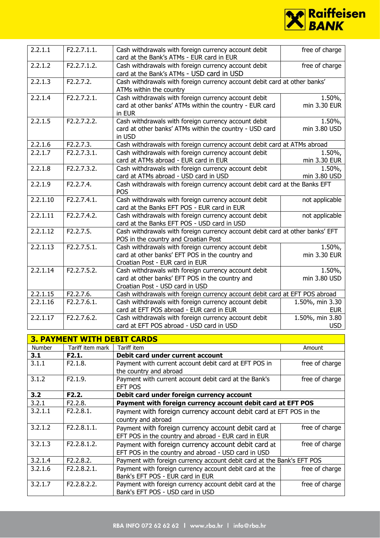

| 2.2.1.1  | F2.2.7.1.1. | Cash withdrawals with foreign currency account debit<br>card at the Bank's ATMs - EUR card in EUR                                          | free of charge                |
|----------|-------------|--------------------------------------------------------------------------------------------------------------------------------------------|-------------------------------|
| 2.2.1.2  | F2.2.7.1.2. | Cash withdrawals with foreign currency account debit<br>card at the Bank's ATMs - USD card in USD                                          | free of charge                |
| 2.2.1.3  | F2.2.7.2.   | Cash withdrawals with foreign currency account debit card at other banks'<br>ATMs within the country                                       |                               |
| 2.2.1.4  | F2.2.7.2.1. | Cash withdrawals with foreign currency account debit<br>card at other banks' ATMs within the country - EUR card<br>in EUR                  | 1.50%,<br>min 3.30 EUR        |
| 2.2.1.5  | F2.2.7.2.2. | Cash withdrawals with foreign currency account debit<br>card at other banks' ATMs within the country - USD card<br>in USD                  | 1.50%,<br>min 3.80 USD        |
| 2.2.1.6  | F2.2.7.3.   | Cash withdrawals with foreign currency account debit card at ATMs abroad                                                                   |                               |
| 2.2.1.7  | F2.2.7.3.1. | Cash withdrawals with foreign currency account debit<br>card at ATMs abroad - EUR card in EUR                                              | 1.50%,<br>min 3.30 EUR        |
| 2.2.1.8  | F2.2.7.3.2. | Cash withdrawals with foreign currency account debit<br>card at ATMs abroad - USD card in USD                                              | 1.50%,<br>min 3.80 USD        |
| 2.2.1.9  | F2.2.7.4.   | Cash withdrawals with foreign currency account debit card at the Banks EFT<br><b>POS</b>                                                   |                               |
| 2.2.1.10 | F2.2.7.4.1. | Cash withdrawals with foreign currency account debit<br>card at the Banks EFT POS - EUR card in EUR                                        | not applicable                |
| 2.2.1.11 | F2.2.7.4.2. | Cash withdrawals with foreign currency account debit<br>card at the Banks EFT POS - USD card in USD                                        | not applicable                |
| 2.2.1.12 | F2.2.7.5.   | Cash withdrawals with foreign currency account debit card at other banks' EFT<br>POS in the country and Croatian Post                      |                               |
| 2.2.1.13 | F2.2.7.5.1. | Cash withdrawals with foreign currency account debit<br>card at other banks' EFT POS in the country and<br>Croatian Post - EUR card in EUR | 1.50%,<br>min 3.30 EUR        |
| 2.2.1.14 | F2.2.7.5.2. | Cash withdrawals with foreign currency account debit<br>card at other banks' EFT POS in the country and<br>Croatian Post - USD card in USD | 1.50%,<br>min 3.80 USD        |
| 2.2.1.15 | F2.2.7.6.   | Cash withdrawals with foreign currency account debit card at EFT POS abroad                                                                |                               |
| 2.2.1.16 | F2.2.7.6.1. | Cash withdrawals with foreign currency account debit<br>card at EFT POS abroad - EUR card in EUR                                           | 1.50%, min 3.30<br><b>EUR</b> |
| 2.2.1.17 | F2.2.7.6.2. | Cash withdrawals with foreign currency account debit<br>card at EFT POS abroad - USD card in USD                                           | 1.50%, min 3.80<br><b>USD</b> |

| <b>3. PAYMENT WITH DEBIT CARDS</b> |                  |                                                                                 |                |  |
|------------------------------------|------------------|---------------------------------------------------------------------------------|----------------|--|
| <b>Number</b>                      | Tariff item mark | Tariff item                                                                     | Amount         |  |
| 3.1                                | F2.1.            | Debit card under current account                                                |                |  |
| 3.1.1                              | F2.1.8.          | Payment with current account debit card at EFT POS in<br>the country and abroad | free of charge |  |
| 3.1.2                              | F2.1.9.          | Payment with current account debit card at the Bank's<br>EFT POS                | free of charge |  |
| 3.2                                | F2.2.            | Debit card under foreign currency account                                       |                |  |
| 3.2.1                              | F2.2.8.          | Payment with foreign currency account debit card at EFT POS                     |                |  |
| 3.2.1.1                            | F2.2.8.1.        | Payment with foreign currency account debit card at EFT POS in the              |                |  |
|                                    |                  | country and abroad                                                              |                |  |
| 3.2.1.2                            | F2.2.8.1.1.      | Payment with foreign currency account debit card at                             | free of charge |  |
|                                    |                  | EFT POS in the country and abroad - EUR card in EUR                             |                |  |
| 3.2.1.3                            | F2.2.8.1.2.      | Payment with foreign currency account debit card at                             | free of charge |  |
|                                    |                  | EFT POS in the country and abroad - USD card in USD                             |                |  |
| 3.2.1.4                            | F2.2.8.2.        | Payment with foreign currency account debit card at the Bank's EFT POS          |                |  |
| 3.2.1.6                            | F2.2.8.2.1.      | Payment with foreign currency account debit card at the                         | free of charge |  |
|                                    |                  | Bank's EFT POS - EUR card in EUR                                                |                |  |
| 3.2.1.7                            | F2.2.8.2.2.      | Payment with foreign currency account debit card at the                         | free of charge |  |
|                                    |                  | Bank's EFT POS - USD card in USD                                                |                |  |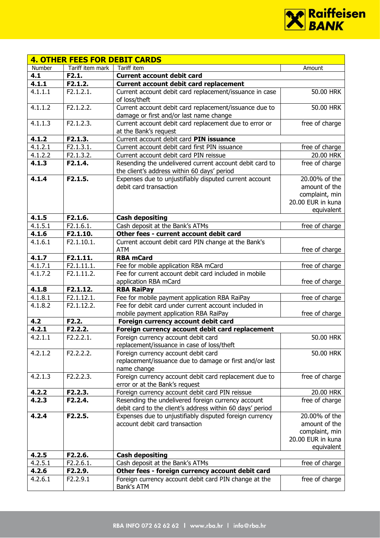

|         | <b>4. OTHER FEES FOR DEBIT CARDS</b> |                                                                                                                 |                                     |
|---------|--------------------------------------|-----------------------------------------------------------------------------------------------------------------|-------------------------------------|
| Number  | Tariff item mark                     | Tariff item                                                                                                     | Amount                              |
| 4.1     | F2.1.                                | <b>Current account debit card</b>                                                                               |                                     |
| 4.1.1   | F2.1.2.                              | <b>Current account debit card replacement</b>                                                                   |                                     |
| 4.1.1.1 | F2.1.2.1.                            | Current account debit card replacement/issuance in case<br>of loss/theft                                        | 50.00 HRK                           |
| 4.1.1.2 | F2.1.2.2.                            | Current account debit card replacement/issuance due to<br>damage or first and/or last name change               | 50.00 HRK                           |
| 4.1.1.3 | F2.1.2.3.                            | Current account debit card replacement due to error or<br>at the Bank's request                                 | free of charge                      |
| 4.1.2   | F2.1.3.                              | Current account debit card PIN issuance                                                                         |                                     |
| 4.1.2.1 | F2.1.3.1.                            | Current account debit card first PIN issuance                                                                   | free of charge                      |
| 4.1.2.2 | F2.1.3.2.                            | Current account debit card PIN reissue                                                                          | 20.00 HRK                           |
| 4.1.3   | F2.1.4.                              | Resending the undelivered current account debit card to<br>the client's address within 60 days' period          | free of charge                      |
| 4.1.4   | F2.1.5.                              | Expenses due to unjustifiably disputed current account                                                          | 20.00% of the                       |
|         |                                      | debit card transaction                                                                                          | amount of the                       |
|         |                                      |                                                                                                                 | complaint, min<br>20.00 EUR in kuna |
|         |                                      |                                                                                                                 | equivalent                          |
| 4.1.5   | F2.1.6.                              | <b>Cash depositing</b>                                                                                          |                                     |
| 4.1.5.1 | F2.1.6.1.                            | Cash deposit at the Bank's ATMs                                                                                 | free of charge                      |
| 4.1.6   | F2.1.10.                             | Other fees - current account debit card                                                                         |                                     |
| 4.1.6.1 | F2.1.10.1.                           | Current account debit card PIN change at the Bank's                                                             |                                     |
|         |                                      | <b>ATM</b>                                                                                                      | free of charge                      |
| 4.1.7   | F2.1.11.                             | <b>RBA mCard</b>                                                                                                |                                     |
| 4.1.7.1 | F2.1.11.1.                           | Fee for mobile application RBA mCard                                                                            | free of charge                      |
| 4.1.7.2 | F2.1.11.2.                           | Fee for current account debit card included in mobile<br>application RBA mCard                                  | free of charge                      |
| 4.1.8   | F2.1.12.                             | <b>RBA RaiPay</b>                                                                                               |                                     |
| 4.1.8.1 | F2.1.12.1.                           | Fee for mobile payment application RBA RaiPay                                                                   | free of charge                      |
| 4.1.8.2 | F2.1.12.2.                           | Fee for debit card under current account included in                                                            |                                     |
|         |                                      | mobile payment application RBA RaiPay                                                                           | free of charge                      |
| 4.2     | F2.2.                                | Foreign currency account debit card                                                                             |                                     |
| 4.2.1   | F2.2.2.                              | Foreign currency account debit card replacement                                                                 |                                     |
| 4.2.1.1 | F2.2.2.1.                            | Foreign currency account debit card<br>replacement/issuance in case of loss/theft                               | 50.00 HRK                           |
| 4.2.1.2 | F2.2.2.2.                            | Foreign currency account debit card<br>replacement/issuance due to damage or first and/or last<br>name change   | 50.00 HRK                           |
| 4.2.1.3 | F2.2.2.3.                            | Foreign currency account debit card replacement due to<br>error or at the Bank's request                        | free of charge                      |
| 4.2.2   | F2.2.3.                              | Foreign currency account debit card PIN reissue                                                                 | 20.00 HRK                           |
| 4.2.3   | F2.2.4.                              | Resending the undelivered foreign currency account<br>debit card to the client's address within 60 days' period | free of charge                      |
| 4.2.4   | F2.2.5.                              | Expenses due to unjustifiably disputed foreign currency                                                         | 20.00% of the                       |
|         |                                      | account debit card transaction                                                                                  | amount of the                       |
|         |                                      |                                                                                                                 | complaint, min                      |
|         |                                      |                                                                                                                 | 20.00 EUR in kuna                   |
|         |                                      |                                                                                                                 | equivalent                          |
| 4.2.5   | F2.2.6.                              | <b>Cash depositing</b>                                                                                          |                                     |
| 4.2.5.1 | F2.2.6.1.                            | Cash deposit at the Bank's ATMs                                                                                 | free of charge                      |
| 4.2.6   | F2.2.9.                              | Other fees - foreign currency account debit card                                                                |                                     |
| 4.2.6.1 | F2.2.9.1                             | Foreign currency account debit card PIN change at the<br>Bank's ATM                                             | free of charge                      |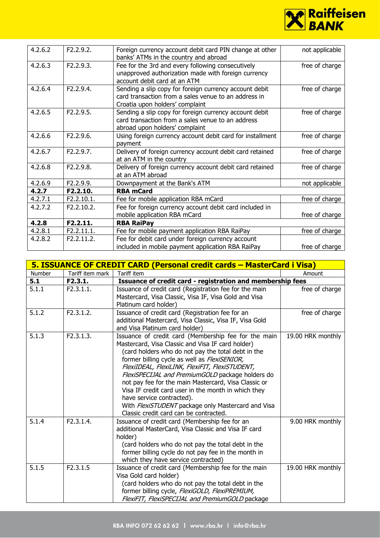

| 4.2.6.2 | F2.2.9.2.  | Foreign currency account debit card PIN change at other<br>banks' ATMs in the country and abroad                                                  | not applicable |
|---------|------------|---------------------------------------------------------------------------------------------------------------------------------------------------|----------------|
| 4.2.6.3 | F2.2.9.3.  | Fee for the 3rd and every following consecutively<br>unapproved authorization made with foreign currency<br>account debit card at an ATM          | free of charge |
| 4.2.6.4 | F2.2.9.4.  | Sending a slip copy for foreign currency account debit<br>card transaction from a sales venue to an address in<br>Croatia upon holders' complaint | free of charge |
| 4.2.6.5 | F2.2.9.5.  | Sending a slip copy for foreign currency account debit<br>card transaction from a sales venue to an address<br>abroad upon holders' complaint     | free of charge |
| 4.2.6.6 | F2.2.9.6.  | Using foreign currency account debit card for installment<br>payment                                                                              | free of charge |
| 4.2.6.7 | F2.2.9.7.  | Delivery of foreign currency account debit card retained<br>at an ATM in the country                                                              | free of charge |
| 4.2.6.8 | F2.2.9.8.  | Delivery of foreign currency account debit card retained<br>at an ATM abroad                                                                      | free of charge |
| 4.2.6.9 | F2.2.9.9.  | Downpayment at the Bank's ATM                                                                                                                     | not applicable |
| 4.2.7   | F2.2.10.   | <b>RBA mCard</b>                                                                                                                                  |                |
| 4.2.7.1 | F2.2.10.1. | Fee for mobile application RBA mCard                                                                                                              | free of charge |
| 4.2.7.2 | F2.2.10.2. | Fee for foreign currency account debit card included in<br>mobile application RBA mCard                                                           | free of charge |
| 4.2.8   | F2.2.11.   | <b>RBA RaiPay</b>                                                                                                                                 |                |
| 4.2.8.1 | F2.2.11.1. | Fee for mobile payment application RBA RaiPay                                                                                                     | free of charge |
| 4.2.8.2 | F2.2.11.2. | Fee for debit card under foreign currency account<br>included in mobile payment application RBA RaiPay                                            | free of charge |

|               |                  | 5. ISSUANCE OF CREDIT CARD (Personal credit cards - MasterCard i Visa)                                                                                                                                                                                                                                                                                                                                                                                                                                                                                            |                   |
|---------------|------------------|-------------------------------------------------------------------------------------------------------------------------------------------------------------------------------------------------------------------------------------------------------------------------------------------------------------------------------------------------------------------------------------------------------------------------------------------------------------------------------------------------------------------------------------------------------------------|-------------------|
| <b>Number</b> | Tariff item mark | Tariff item                                                                                                                                                                                                                                                                                                                                                                                                                                                                                                                                                       | Amount            |
| 5.1           | F2.3.1.          | Issuance of credit card - registration and membership fees                                                                                                                                                                                                                                                                                                                                                                                                                                                                                                        |                   |
| 5.1.1         | F2.3.1.1.        | Issuance of credit card (Registration fee for the main<br>Mastercard, Visa Classic, Visa IF, Visa Gold and Visa<br>Platinum card holder)                                                                                                                                                                                                                                                                                                                                                                                                                          | free of charge    |
| 5.1.2         | F2.3.1.2.        | Issuance of credit card (Registration fee for an<br>additional Mastercard, Visa Classic, Visa IF, Visa Gold<br>and Visa Platinum card holder)                                                                                                                                                                                                                                                                                                                                                                                                                     | free of charge    |
| 5.1.3         | F2.3.1.3.        | Issuance of credit card (Membership fee for the main<br>Mastercard, Visa Classic and Visa IF card holder)<br>(card holders who do not pay the total debt in the<br>former billing cycle as well as FlexiSENIOR,<br>FlexiIDEAL, FlexiLINK, FlexiFIT, FlexiSTUDENT,<br>FlexiSPECIJAL and PremiumGOLD package holders do<br>not pay fee for the main Mastercard, Visa Classic or<br>Visa IF credit card user in the month in which they<br>have service contracted).<br>With FlexiSTUDENT package only Mastercard and Visa<br>Classic credit card can be contracted. | 19.00 HRK monthly |
| 5.1.4         | F2.3.1.4.        | Issuance of credit card (Membership fee for an<br>additional MasterCard, Visa Classic and Visa IF card<br>holder)<br>(card holders who do not pay the total debt in the<br>former billing cycle do not pay fee in the month in<br>which they have service contracted)                                                                                                                                                                                                                                                                                             | 9.00 HRK monthly  |
| 5.1.5         | F2.3.1.5         | Issuance of credit card (Membership fee for the main<br>Visa Gold card holder)<br>(card holders who do not pay the total debt in the<br>former billing cycle, FlexiGOLD, FlexiPREMIUM,<br>FlexiFIT, FlexiSPECIJAL and PremiumGOLD package                                                                                                                                                                                                                                                                                                                         | 19.00 HRK monthly |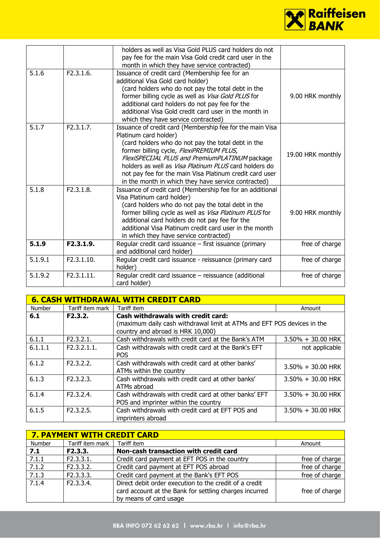

|         |            | holders as well as Visa Gold PLUS card holders do not<br>pay fee for the main Visa Gold credit card user in the<br>month in which they have service contracted)                                                                                                                                                                                                                                                   |                   |
|---------|------------|-------------------------------------------------------------------------------------------------------------------------------------------------------------------------------------------------------------------------------------------------------------------------------------------------------------------------------------------------------------------------------------------------------------------|-------------------|
| 5.1.6   | F2.3.1.6.  | Issuance of credit card (Membership fee for an<br>additional Visa Gold card holder)<br>(card holders who do not pay the total debt in the<br>former billing cycle as well as Visa Gold PLUS for<br>additional card holders do not pay fee for the<br>additional Visa Gold credit card user in the month in<br>which they have service contracted)                                                                 | 9.00 HRK monthly  |
| 5.1.7   | F2.3.1.7.  | Issuance of credit card (Membership fee for the main Visa<br>Platinum card holder)<br>(card holders who do not pay the total debt in the<br>former billing cycle, FlexiPREMIUM PLUS,<br>FlexiSPECIJAL PLUS and PremiumPLATINUM package<br>holders as well as Visa Platinum PLUS card holders do<br>not pay fee for the main Visa Platinum credit card user<br>in the month in which they have service contracted) | 19.00 HRK monthly |
| 5.1.8   | F2.3.1.8.  | Issuance of credit card (Membership fee for an additional<br>Visa Platinum card holder)<br>(card holders who do not pay the total debt in the<br>former billing cycle as well as Visa Platinum PLUS for<br>additional card holders do not pay fee for the<br>additional Visa Platinum credit card user in the month<br>in which they have service contracted)                                                     | 9.00 HRK monthly  |
| 5.1.9   | F2.3.1.9.  | Regular credit card issuance - first issuance (primary<br>and additional card holder)                                                                                                                                                                                                                                                                                                                             | free of charge    |
| 5.1.9.1 | F2.3.1.10. | Regular credit card issuance - reissuance (primary card<br>holder)                                                                                                                                                                                                                                                                                                                                                | free of charge    |
| 5.1.9.2 | F2.3.1.11. | Regular credit card issuance - reissuance (additional<br>card holder)                                                                                                                                                                                                                                                                                                                                             | free of charge    |

| <b>6. CASH WITHDRAWAL WITH CREDIT CARD</b> |                  |                                                                         |                      |  |
|--------------------------------------------|------------------|-------------------------------------------------------------------------|----------------------|--|
| Number                                     | Tariff item mark | Tariff item                                                             | Amount               |  |
| 6.1                                        | F2.3.2.          | <b>Cash withdrawals with credit card:</b>                               |                      |  |
|                                            |                  | (maximum daily cash withdrawal limit at ATMs and EFT POS devices in the |                      |  |
|                                            |                  | country and abroad is HRK 10,000)                                       |                      |  |
| 6.1.1                                      | F2.3.2.1.        | Cash withdrawals with credit card at the Bank's ATM                     | $3.50\% + 30.00$ HRK |  |
| 6.1.1.1                                    | F2.3.2.1.1.      | Cash withdrawals with credit card at the Bank's EFT                     | not applicable       |  |
|                                            |                  | <b>POS</b>                                                              |                      |  |
| 6.1.2                                      | F2.3.2.2.        | Cash withdrawals with credit card at other banks'                       | $3.50\% + 30.00$ HRK |  |
|                                            |                  | ATMs within the country                                                 |                      |  |
| 6.1.3                                      | F2.3.2.3.        | Cash withdrawals with credit card at other banks'                       | $3.50\% + 30.00$ HRK |  |
|                                            |                  | ATMs abroad                                                             |                      |  |
| 6.1.4                                      | F2.3.2.4.        | Cash withdrawals with credit card at other banks' EFT                   | $3.50\% + 30.00$ HRK |  |
|                                            |                  | POS and imprinter within the country                                    |                      |  |
| 6.1.5                                      | F2.3.2.5.        | Cash withdrawals with credit card at EFT POS and                        | $3.50\% + 30.00$ HRK |  |
|                                            |                  | imprinters abroad                                                       |                      |  |

| <b>7. PAYMENT WITH CREDIT CARD</b> |                  |                                                                                                                                            |                |  |
|------------------------------------|------------------|--------------------------------------------------------------------------------------------------------------------------------------------|----------------|--|
| Number                             | Tariff item mark | Tariff item                                                                                                                                | Amount         |  |
| 7.1                                | F2.3.3.          | Non-cash transaction with credit card                                                                                                      |                |  |
| 7.1.1                              | F2.3.3.1.        | Credit card payment at EFT POS in the country                                                                                              | free of charge |  |
| 7.1.2                              | F2.3.3.2.        | Credit card payment at EFT POS abroad                                                                                                      | free of charge |  |
| 7.1.3                              | F2.3.3.3.        | Credit card payment at the Bank's EFT POS                                                                                                  | free of charge |  |
| 7.1.4                              | F2.3.3.4.        | Direct debit order execution to the credit of a credit<br>card account at the Bank for settling charges incurred<br>by means of card usage | free of charge |  |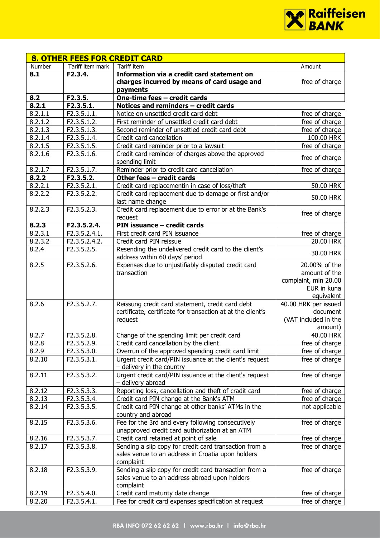

| <b>8. OTHER FEES FOR CREDIT CARD</b> |                                            |                                                                                         |                      |
|--------------------------------------|--------------------------------------------|-----------------------------------------------------------------------------------------|----------------------|
| Number                               | Tariff item mark                           | Tariff item                                                                             | Amount               |
| 8.1                                  | F2.3.4.                                    | Information via a credit card statement on                                              |                      |
|                                      |                                            | charges incurred by means of card usage and<br>payments                                 | free of charge       |
| 8.2                                  | F2.3.5.                                    | One-time fees - credit cards                                                            |                      |
| 8.2.1                                | F2.3.5.1.                                  | Notices and reminders - credit cards                                                    |                      |
| 8.2.1.1                              | F2.3.5.1.1.                                | Notice on unsettled credit card debt                                                    | free of charge       |
| 8.2.1.2                              | F2.3.5.1.2.                                | First reminder of unsettled credit card debt                                            | free of charge       |
| 8.2.1.3                              | F2.3.5.1.3.                                | Second reminder of unsettled credit card debt                                           | free of charge       |
| 8.2.1.4                              | F2.3.5.1.4.                                | Credit card cancellation                                                                | 100.00 HRK           |
| 8.2.1.5                              | F2.3.5.1.5.                                | Credit card reminder prior to a lawsuit                                                 | free of charge       |
| 8.2.1.6                              | F2.3.5.1.6.                                | Credit card reminder of charges above the approved                                      | free of charge       |
|                                      |                                            | spending limit                                                                          |                      |
| 8.2.1.7                              | F2.3.5.1.7.                                | Reminder prior to credit card cancellation                                              | free of charge       |
| 8.2.2                                | F2.3.5.2.                                  | Other fees - credit cards                                                               |                      |
| 8.2.2.1                              | F2.3.5.2.1.                                | Credit card replacementin in case of loss/theft                                         | 50.00 HRK            |
| 8.2.2.2                              | F2.3.5.2.2.                                | Credit card replacement due to damage or first and/or<br>last name change               | 50.00 HRK            |
| 8.2.2.3                              | F2.3.5.2.3.                                | Credit card replacement due to error or at the Bank's                                   | free of charge       |
|                                      |                                            | request<br>PIN issuance - credit cards                                                  |                      |
| 8.2.3<br>8.2.3.1                     | F2.3.5.2.4.<br>F2.3.5.2.4.1.               |                                                                                         |                      |
|                                      |                                            | First credit card PIN issuance                                                          | free of charge       |
| 8.2.3.2                              | F2.3.5.2.4.2.<br>$\overline{F}$ 2.3.5.2.5. | Credit card PIN reissue                                                                 | 20.00 HRK            |
| 8.2.4                                |                                            | Resending the undelivered credit card to the client's<br>address within 60 days' period | 30.00 HRK            |
| 8.2.5                                | F2.3.5.2.6.                                | Expenses due to unjustifiably disputed credit card                                      | 20.00% of the        |
|                                      |                                            | transaction                                                                             | amount of the        |
|                                      |                                            |                                                                                         | complaint, min 20.00 |
|                                      |                                            |                                                                                         | EUR in kuna          |
|                                      |                                            |                                                                                         | equivalent           |
| 8.2.6                                | F2.3.5.2.7.                                | Reissung credit card statement, credit card debt                                        | 40.00 HRK per issued |
|                                      |                                            | certificate, certificate for transaction at at the client's                             | document             |
|                                      |                                            | request                                                                                 | (VAT included in the |
|                                      |                                            |                                                                                         | amount)              |
| 8.2.7<br>8.2.8                       | F2.3.5.2.8.                                | Change of the spending limit per credit card<br>Credit card cancellation by the client  | 40.00 HRK            |
|                                      | F2.3.5.2.9.<br>F2.3.5.3.0.                 |                                                                                         | free of charge       |
| 8.2.9                                |                                            | Overrun of the approved spending credit card limit                                      | free of charge       |
| 8.2.10                               | F2.3.5.3.1.                                | Urgent credit card/PIN issuance at the client's request<br>- delivery in the country    | free of charge       |
| 8.2.11                               | F2.3.5.3.2.                                | Urgent credit card/PIN issuance at the client's request                                 | free of charge       |
|                                      |                                            | - delivery abroad                                                                       |                      |
| 8.2.12                               | F2.3.5.3.3.                                | Reporting loss, cancellation and theft of cradit card                                   | free of charge       |
| 8.2.13                               | F2.3.5.3.4.                                | Credit card PIN change at the Bank's ATM                                                | free of charge       |
| 8.2.14                               | F2.3.5.3.5.                                | Credit card PIN change at other banks' ATMs in the<br>country and abroad                | not applicable       |
| 8.2.15                               | F2.3.5.3.6.                                | Fee for the 3rd and every following consecutively                                       | free of charge       |
|                                      |                                            | unapproved credit card authorization at an ATM                                          |                      |
| 8.2.16                               | F2.3.5.3.7.                                | Credit card retained at point of sale                                                   | free of charge       |
| 8.2.17                               | F2.3.5.3.8.                                | Sending a slip copy for credit card transaction from a                                  | free of charge       |
|                                      |                                            | sales venue to an address in Croatia upon holders                                       |                      |
|                                      |                                            | complaint                                                                               |                      |
| 8.2.18                               | F2.3.5.3.9.                                | Sending a slip copy for credit card transaction from a                                  | free of charge       |
|                                      |                                            | sales venue to an address abroad upon holders                                           |                      |
|                                      |                                            | complaint                                                                               |                      |
| 8.2.19                               | F2.3.5.4.0.                                | Credit card maturity date change                                                        | free of charge       |
| 8.2.20                               | F2.3.5.4.1.                                | Fee for credit card expenses specification at request                                   | free of charge       |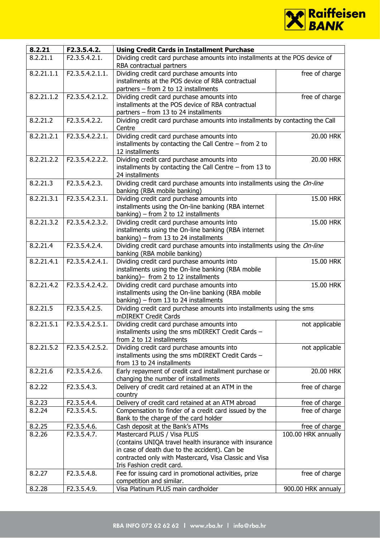

| 8.2.21     | F2.3.5.4.2.                   | <b>Using Credit Cards in Installment Purchase</b>                                                                                                                                                                             |                     |  |
|------------|-------------------------------|-------------------------------------------------------------------------------------------------------------------------------------------------------------------------------------------------------------------------------|---------------------|--|
| 8.2.21.1   | F2.3.5.4.2.1.                 | Dividing credit card purchase amounts into installments at the POS device of<br>RBA contractual partners                                                                                                                      |                     |  |
| 8.2.21.1.1 | F2.3.5.4.2.1.1.               | Dividing credit card purchase amounts into<br>installments at the POS device of RBA contractual<br>partners - from 2 to 12 installments                                                                                       | free of charge      |  |
| 8.2.21.1.2 | F2.3.5.4.2.1.2.               | Dividing credit card purchase amounts into<br>installments at the POS device of RBA contractual<br>partners - from 13 to 24 installments                                                                                      | free of charge      |  |
| 8.2.21.2   | F2.3.5.4.2.2.                 | Dividing credit card purchase amounts into installments by contacting the Call<br>Centre                                                                                                                                      |                     |  |
| 8.2.21.2.1 | F2.3.5.4.2.2.1.               | Dividing credit card purchase amounts into<br>installments by contacting the Call Centre $-$ from 2 to<br>12 installments                                                                                                     | 20.00 HRK           |  |
| 8.2.21.2.2 | F2.3.5.4.2.2.2.               | Dividing credit card purchase amounts into<br>installments by contacting the Call Centre $-$ from 13 to<br>24 installments                                                                                                    | 20.00 HRK           |  |
| 8.2.21.3   | F2.3.5.4.2.3.                 | Dividing credit card purchase amounts into installments using the On-line<br>banking (RBA mobile banking)                                                                                                                     |                     |  |
| 8.2.21.3.1 | F2.3.5.4.2.3.1.               | Dividing credit card purchase amounts into<br>installments using the On-line banking (RBA internet<br>banking) – from $2$ to $12$ installments                                                                                | 15.00 HRK           |  |
| 8.2.21.3.2 | F2.3.5.4.2.3.2.               | Dividing credit card purchase amounts into<br>installments using the On-line banking (RBA internet<br>banking) – from 13 to 24 installments                                                                                   | 15.00 HRK           |  |
| 8.2.21.4   | F2.3.5.4.2.4.                 | Dividing credit card purchase amounts into installments using the On-line<br>banking (RBA mobile banking)                                                                                                                     |                     |  |
| 8.2.21.4.1 | F2.3.5.4.2.4.1.               | Dividing credit card purchase amounts into<br>installments using the On-line banking (RBA mobile<br>banking)- from 2 to 12 installments                                                                                       | 15.00 HRK           |  |
| 8.2.21.4.2 | F2.3.5.4.2.4.2.               | Dividing credit card purchase amounts into<br>installments using the On-line banking (RBA mobile<br>banking) – from 13 to 24 installments                                                                                     | 15.00 HRK           |  |
| 8.2.21.5   | F2.3.5.4.2.5.                 | Dividing credit card purchase amounts into installments using the sms<br>mDIREKT Credit Cards                                                                                                                                 |                     |  |
| 8.2.21.5.1 | $\overline{F2.3.5.4.2.5.1}$ . | Dividing credit card purchase amounts into<br>installments using the sms mDIREKT Credit Cards -<br>from 2 to 12 installments                                                                                                  | not applicable      |  |
| 8.2.21.5.2 | F2.3.5.4.2.5.2.               | Dividing credit card purchase amounts into<br>installments using the sms mDIREKT Credit Cards -<br>from 13 to 24 installments                                                                                                 | not applicable      |  |
| 8.2.21.6   | F2.3.5.4.2.6.                 | Early repayment of credit card installment purchase or<br>changing the number of installments                                                                                                                                 | 20.00 HRK           |  |
| 8.2.22     | F2.3.5.4.3.                   | Delivery of credit card retained at an ATM in the<br>country                                                                                                                                                                  | free of charge      |  |
| 8.2.23     | F2.3.5.4.4.                   | Delivery of credit card retained at an ATM abroad                                                                                                                                                                             | free of charge      |  |
| 8.2.24     | F2.3.5.4.5.                   | Compensation to finder of a credit card issued by the<br>Bank to the charge of the card holder                                                                                                                                | free of charge      |  |
| 8.2.25     | F2.3.5.4.6.                   | Cash deposit at the Bank's ATMs                                                                                                                                                                                               | free of charge      |  |
| 8.2.26     | F2.3.5.4.7.                   | Mastercard PLUS / Visa PLUS<br>(contains UNIQA travel health insurance with insurance<br>in case of death due to the accident). Can be<br>contracted only with Mastercard, Visa Classic and Visa<br>Iris Fashion credit card. | 100.00 HRK annually |  |
| 8.2.27     | F2.3.5.4.8.                   | Fee for issuing card in promotional activities, prize<br>competition and similar.                                                                                                                                             | free of charge      |  |
| 8.2.28     | F2.3.5.4.9.                   | Visa Platinum PLUS main cardholder                                                                                                                                                                                            | 900.00 HRK annualy  |  |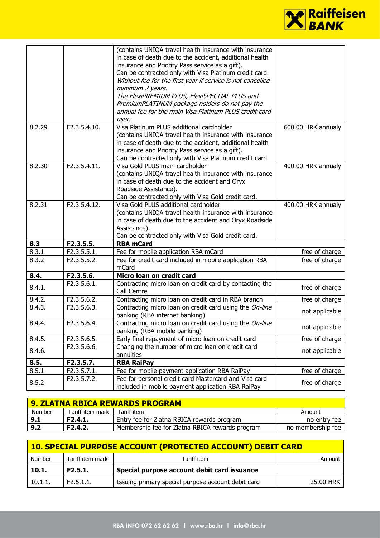

|        |              | (contains UNIQA travel health insurance with insurance<br>in case of death due to the accident, additional health<br>insurance and Priority Pass service as a gift).<br>Can be contracted only with Visa Platinum credit card.<br>Without fee for the first year if service is not cancelled<br>minimum 2 years.<br>The FlexiPREMIUM PLUS, FlexiSPECIJAL PLUS and<br>PremiumPLATINUM package holders do not pay the<br>annual fee for the main Visa Platinum PLUS credit card<br>user. |                    |
|--------|--------------|----------------------------------------------------------------------------------------------------------------------------------------------------------------------------------------------------------------------------------------------------------------------------------------------------------------------------------------------------------------------------------------------------------------------------------------------------------------------------------------|--------------------|
| 8.2.29 | F2.3.5.4.10. | Visa Platinum PLUS additional cardholder<br>(contains UNIQA travel health insurance with insurance<br>in case of death due to the accident, additional health<br>insurance and Priority Pass service as a gift).<br>Can be contracted only with Visa Platinum credit card.                                                                                                                                                                                                             | 600.00 HRK annualy |
| 8.2.30 | F2.3.5.4.11. | Visa Gold PLUS main cardholder<br>(contains UNIQA travel health insurance with insurance<br>in case of death due to the accident and Oryx<br>Roadside Assistance).<br>Can be contracted only with Visa Gold credit card.                                                                                                                                                                                                                                                               | 400.00 HRK annualy |
| 8.2.31 | F2.3.5.4.12. | Visa Gold PLUS additional cardholder<br>(contains UNIQA travel health insurance with insurance<br>in case of death due to the accident and Oryx Roadside<br>Assistance).<br>Can be contracted only with Visa Gold credit card.                                                                                                                                                                                                                                                         | 400.00 HRK annualy |
| 8.3    | F2.3.5.5.    | <b>RBA mCard</b>                                                                                                                                                                                                                                                                                                                                                                                                                                                                       |                    |
| 8.3.1  | F2.3.5.5.1.  | Fee for mobile application RBA mCard                                                                                                                                                                                                                                                                                                                                                                                                                                                   | free of charge     |
| 8.3.2  | F2.3.5.5.2.  | Fee for credit card included in mobile application RBA<br>mCard                                                                                                                                                                                                                                                                                                                                                                                                                        | free of charge     |
| 8.4.   | F2.3.5.6.    | Micro loan on credit card                                                                                                                                                                                                                                                                                                                                                                                                                                                              |                    |
| 8.4.1. | F2.3.5.6.1.  | Contracting micro loan on credit card by contacting the<br>Call Centre                                                                                                                                                                                                                                                                                                                                                                                                                 | free of charge     |
| 8.4.2. | F2.3.5.6.2.  | Contracting micro loan on credit card in RBA branch                                                                                                                                                                                                                                                                                                                                                                                                                                    | free of charge     |
| 8.4.3. | F2.3.5.6.3.  | Contracting micro loan on credit card using the On-line<br>banking (RBA internet banking)                                                                                                                                                                                                                                                                                                                                                                                              | not applicable     |
| 8.4.4. | F2.3.5.6.4.  | Contracting micro loan on credit card using the On-line<br>banking (RBA mobile banking)                                                                                                                                                                                                                                                                                                                                                                                                | not applicable     |
| 8.4.5. | F2.3.5.6.5.  | Early final repayment of micro loan on credit card                                                                                                                                                                                                                                                                                                                                                                                                                                     | free of charge     |
| 8.4.6. | F2.3.5.6.6.  | Changing the number of micro loan on credit card<br>annuities                                                                                                                                                                                                                                                                                                                                                                                                                          | not applicable     |
| 8.5.   | F2.3.5.7.    | <b>RBA RaiPay</b>                                                                                                                                                                                                                                                                                                                                                                                                                                                                      |                    |
| 8.5.1  |              |                                                                                                                                                                                                                                                                                                                                                                                                                                                                                        |                    |
|        | F2.3.5.7.1.  | Fee for mobile payment application RBA RaiPay                                                                                                                                                                                                                                                                                                                                                                                                                                          | free of charge     |

| 9. ZLATNA RBICA REWARDS PROGRAM |                      |                                                 |                   |
|---------------------------------|----------------------|-------------------------------------------------|-------------------|
| Number                          | Tariff item mark     | Tariff item                                     | Amount            |
| 9.1                             | F2.4.1.              | Entry fee for Zlatna RBICA rewards program      | no entry fee      |
| 9.2                             | F <sub>2</sub> .4.2. | Membership fee for Zlatna RBICA rewards program | no membership fee |

| 10. SPECIAL PURPOSE ACCOUNT (PROTECTED ACCOUNT) DEBIT CARD |                  |                                                    |           |  |
|------------------------------------------------------------|------------------|----------------------------------------------------|-----------|--|
| Number                                                     | Tariff item mark | Tariff item                                        | Amount    |  |
| 10.1.                                                      | F2.5.1.          | Special purpose account debit card issuance        |           |  |
| 10.1.1                                                     | F2.5.1.1.        | Issuing primary special purpose account debit card | 25.00 HRK |  |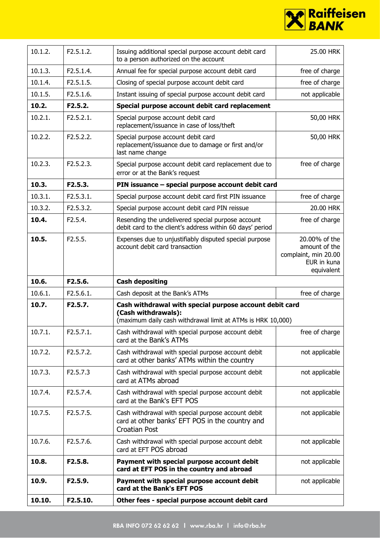

| 10.1.2. | F2.5.1.2. | Issuing additional special purpose account debit card<br>to a person authorized on the account                                                | 25.00 HRK                                                                           |
|---------|-----------|-----------------------------------------------------------------------------------------------------------------------------------------------|-------------------------------------------------------------------------------------|
| 10.1.3. | F2.5.1.4. | Annual fee for special purpose account debit card                                                                                             | free of charge                                                                      |
| 10.1.4. | F2.5.1.5. | Closing of special purpose account debit card                                                                                                 | free of charge                                                                      |
| 10.1.5. | F2.5.1.6. | Instant issuing of special purpose account debit card                                                                                         | not applicable                                                                      |
| 10.2.   | F2.5.2.   | Special purpose account debit card replacement                                                                                                |                                                                                     |
| 10.2.1. | F2.5.2.1. | Special purpose account debit card<br>replacement/issuance in case of loss/theft                                                              | 50,00 HRK                                                                           |
| 10.2.2. | F2.5.2.2. | Special purpose account debit card<br>replacement/issuance due to damage or first and/or<br>last name change                                  | 50,00 HRK                                                                           |
| 10.2.3. | F2.5.2.3. | Special purpose account debit card replacement due to<br>error or at the Bank's request                                                       | free of charge                                                                      |
| 10.3.   | F2.5.3.   | PIN issuance - special purpose account debit card                                                                                             |                                                                                     |
| 10.3.1. | F2.5.3.1. | Special purpose account debit card first PIN issuance                                                                                         | free of charge                                                                      |
| 10.3.2. | F2.5.3.2. | Special purpose account debit card PIN reissue                                                                                                | 20.00 HRK                                                                           |
| 10.4.   | F2.5.4.   | Resending the undelivered special purpose account<br>debit card to the client's address within 60 days' period                                | free of charge                                                                      |
| 10.5.   | F2.5.5.   | Expenses due to unjustifiably disputed special purpose<br>account debit card transaction                                                      | 20.00% of the<br>amount of the<br>complaint, min 20.00<br>EUR in kuna<br>equivalent |
|         |           |                                                                                                                                               |                                                                                     |
| 10.6.   | F2.5.6.   | <b>Cash depositing</b>                                                                                                                        |                                                                                     |
| 10.6.1. | F2.5.6.1. | Cash deposit at the Bank's ATMs                                                                                                               | free of charge                                                                      |
| 10.7.   | F2.5.7.   | Cash withdrawal with special purpose account debit card<br>(Cash withdrawals):<br>(maximum daily cash withdrawal limit at ATMs is HRK 10,000) |                                                                                     |
| 10.7.1. | F2.5.7.1. | Cash withdrawal with special purpose account debit<br>card at the Bank's ATMs                                                                 | free of charge                                                                      |
| 10.7.2. | F2.5.7.2. | Cash withdrawal with special purpose account debit<br>card at other banks' ATMs within the country                                            | not applicable                                                                      |
| 10.7.3. | F2.5.7.3  | Cash withdrawal with special purpose account debit<br>card at ATMs abroad                                                                     | not applicable                                                                      |
| 10.7.4. | F2.5.7.4. | Cash withdrawal with special purpose account debit<br>card at the Bank's EFT POS                                                              | not applicable                                                                      |
| 10.7.5. | F2.5.7.5. | Cash withdrawal with special purpose account debit<br>card at other banks' EFT POS in the country and<br><b>Croatian Post</b>                 | not applicable                                                                      |
| 10.7.6. | F2.5.7.6. | Cash withdrawal with special purpose account debit<br>card at EFT POS abroad                                                                  | not applicable                                                                      |
| 10.8.   | F2.5.8.   | Payment with special purpose account debit<br>card at EFT POS in the country and abroad                                                       | not applicable                                                                      |
| 10.9.   | F2.5.9.   | Payment with special purpose account debit<br>card at the Bank's EFT POS                                                                      | not applicable                                                                      |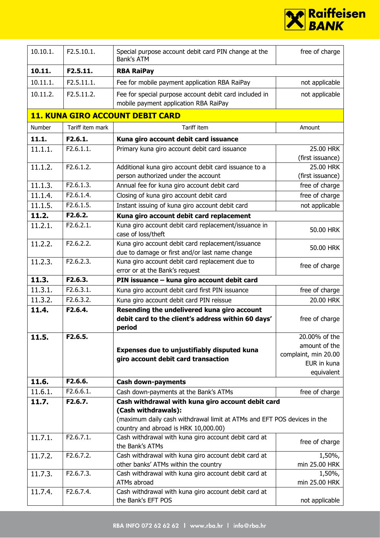

| 10.10.1. | F2.5.10.1.       | Special purpose account debit card PIN change at the<br>Bank's ATM                                              | free of charge       |
|----------|------------------|-----------------------------------------------------------------------------------------------------------------|----------------------|
| 10.11.   | F2.5.11.         | <b>RBA RaiPay</b>                                                                                               |                      |
| 10.11.1. | F2.5.11.1.       | Fee for mobile payment application RBA RaiPay                                                                   | not applicable       |
| 10.11.2. | F2.5.11.2.       | Fee for special purpose account debit card included in<br>mobile payment application RBA RaiPay                 | not applicable       |
|          |                  | <b>11. KUNA GIRO ACCOUNT DEBIT CARD</b>                                                                         |                      |
| Number   | Tariff item mark | <b>Tariff item</b>                                                                                              | Amount               |
| 11.1.    | F2.6.1.          | Kuna giro account debit card issuance                                                                           |                      |
| 11.1.1.  | F2.6.1.1.        | Primary kuna giro account debit card issuance                                                                   | 25.00 HRK            |
|          |                  |                                                                                                                 | (first issuance)     |
| 11.1.2.  | F2.6.1.2.        | Additional kuna giro account debit card issuance to a                                                           | 25.00 HRK            |
|          |                  | person authorized under the account                                                                             | (first issuance)     |
| 11.1.3.  | F2.6.1.3.        | Annual fee for kuna giro account debit card                                                                     | free of charge       |
| 11.1.4.  | F2.6.1.4.        | Closing of kuna giro account debit card                                                                         | free of charge       |
| 11.1.5.  | F2.6.1.5.        | Instant issuing of kuna giro account debit card                                                                 | not applicable       |
| 11.2.    | F2.6.2.          | Kuna giro account debit card replacement                                                                        |                      |
| 11.2.1.  | F2.6.2.1.        | Kuna giro account debit card replacement/issuance in                                                            | 50.00 HRK            |
|          |                  | case of loss/theft                                                                                              |                      |
| 11.2.2.  | F2.6.2.2.        | Kuna giro account debit card replacement/issuance                                                               | 50.00 HRK            |
|          |                  | due to damage or first and/or last name change                                                                  |                      |
| 11.2.3.  | F2.6.2.3.        | Kuna giro account debit card replacement due to                                                                 | free of charge       |
|          |                  | error or at the Bank's request                                                                                  |                      |
| 11.3.    | F2.6.3.          | PIN issuance - kuna giro account debit card                                                                     |                      |
| 11.3.1.  | F2.6.3.1.        | Kuna giro account debit card first PIN issuance                                                                 | free of charge       |
| 11.3.2.  | F2.6.3.2.        | Kuna giro account debit card PIN reissue                                                                        | 20.00 HRK            |
| 11.4.    | F2.6.4.          | Resending the undelivered kuna giro account                                                                     |                      |
|          |                  | debit card to the client's address within 60 days'                                                              | free of charge       |
|          |                  | period                                                                                                          |                      |
| 11.5.    | F2.6.5.          |                                                                                                                 | 20.00% of the        |
|          |                  | Expenses due to unjustifiably disputed kuna                                                                     | amount of the        |
|          |                  | giro account debit card transaction                                                                             | complaint, min 20.00 |
|          |                  |                                                                                                                 | EUR in kuna          |
|          |                  |                                                                                                                 | equivalent           |
| 11.6.    | F2.6.6.          | <b>Cash down-payments</b>                                                                                       |                      |
| 11.6.1.  | F2.6.6.1.        | Cash down-payments at the Bank's ATMs                                                                           | free of charge       |
| 11.7.    | F2.6.7.          | Cash withdrawal with kuna giro account debit card                                                               |                      |
|          |                  | (Cash withdrawals):                                                                                             |                      |
|          |                  | (maximum daily cash withdrawal limit at ATMs and EFT POS devices in the<br>country and abroad is HRK 10,000.00) |                      |
| 11.7.1.  | F2.6.7.1.        | Cash withdrawal with kuna giro account debit card at                                                            |                      |
|          |                  | the Bank's ATMs                                                                                                 | free of charge       |
| 11.7.2.  | F2.6.7.2.        | Cash withdrawal with kuna giro account debit card at                                                            | 1,50%,               |
|          |                  | other banks' ATMs within the country                                                                            | min 25.00 HRK        |
| 11.7.3.  | F2.6.7.3.        | Cash withdrawal with kuna giro account debit card at                                                            | 1,50%,               |
|          |                  | ATMs abroad                                                                                                     | min 25.00 HRK        |
| 11.7.4.  | F2.6.7.4.        | Cash withdrawal with kuna giro account debit card at                                                            |                      |
|          |                  | the Bank's EFT POS                                                                                              | not applicable       |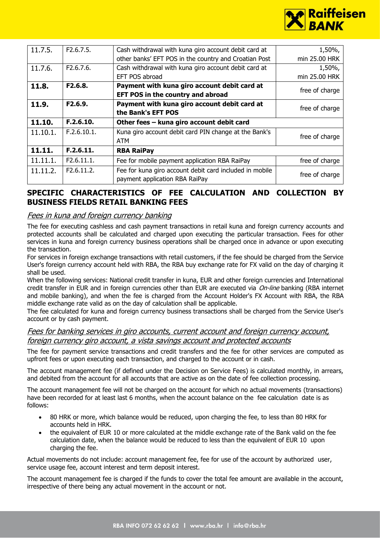

| 11.7.5.  | F2.6.7.5.   | Cash withdrawal with kuna giro account debit card at    | 1,50%,         |
|----------|-------------|---------------------------------------------------------|----------------|
|          |             | other banks' EFT POS in the country and Croatian Post   | min 25.00 HRK  |
|          |             |                                                         |                |
| 11.7.6.  | F2.6.7.6.   | Cash withdrawal with kuna giro account debit card at    | 1,50%,         |
|          |             | EFT POS abroad                                          | min 25,00 HRK  |
| 11.8.    | F2.6.8.     | Payment with kuna giro account debit card at            |                |
|          |             | EFT POS in the country and abroad                       | free of charge |
| 11.9.    | F2.6.9.     | Payment with kuna giro account debit card at            | free of charge |
|          |             | the Bank's EFT POS                                      |                |
| 11.10.   | F.2.6.10.   | Other fees - kuna giro account debit card               |                |
| 11.10.1. | F.2.6.10.1. | Kuna giro account debit card PIN change at the Bank's   | free of charge |
|          |             | ATM                                                     |                |
| 11.11.   | F.2.6.11.   | <b>RBA RaiPay</b>                                       |                |
| 11.11.1. | F2.6.11.1.  | Fee for mobile payment application RBA RaiPay           | free of charge |
| 11.11.2. | F2.6.11.2.  | Fee for kuna giro account debit card included in mobile | free of charge |
|          |             | payment application RBA RaiPay                          |                |

### **SPECIFIC CHARACTERISTICS OF FEE CALCULATION AND COLLECTION BY BUSINESS FIELDS RETAIL BANKING FEES**

### Fees in kuna and foreign currency banking

The fee for executing cashless and cash payment transactions in retail kuna and foreign currency accounts and protected accounts shall be calculated and charged upon executing the particular transaction. Fees for other services in kuna and foreign currency business operations shall be charged once in advance or upon executing the transaction.

For services in foreign exchange transactions with retail customers, if the fee should be charged from the Service User's foreign currency account held with RBA, the RBA buy exchange rate for FX valid on the day of charging it shall be used.

When the following services: National credit transfer in kuna, EUR and other foreign currencies and International credit transfer in EUR and in foreign currencies other than EUR are executed via On-line banking (RBA internet and mobile banking), and when the fee is charged from the Account Holder's FX Account with RBA, the RBA middle exchange rate valid as on the day of calculation shall be applicable.

The fee calculated for kuna and foreign currency business transactions shall be charged from the Service User's account or by cash payment.

### Fees for banking services in giro accounts, current account and foreign currency account, foreign currency giro account, a vista savings account and protected accounts

The fee for payment service transactions and credit transfers and the fee for other services are computed as upfront fees or upon executing each transaction, and charged to the account or in cash.

The account management fee (if defined under the Decision on Service Fees) is calculated monthly, in arrears, and debited from the account for all accounts that are active as on the date of fee collection processing.

The account management fee will not be charged on the account for which no actual movements (transactions) have been recorded for at least last 6 months, when the account balance on the fee calculation date is as follows:

- 80 HRK or more, which balance would be reduced, upon charging the fee, to less than 80 HRK for accounts held in HRK.
- the equivalent of EUR 10 or more calculated at the middle exchange rate of the Bank valid on the fee calculation date, when the balance would be reduced to less than the equivalent of EUR 10 upon charging the fee.

Actual movements do not include: account management fee, fee for use of the account by authorized user, service usage fee, account interest and term deposit interest.

The account management fee is charged if the funds to cover the total fee amount are available in the account, irrespective of there being any actual movement in the account or not.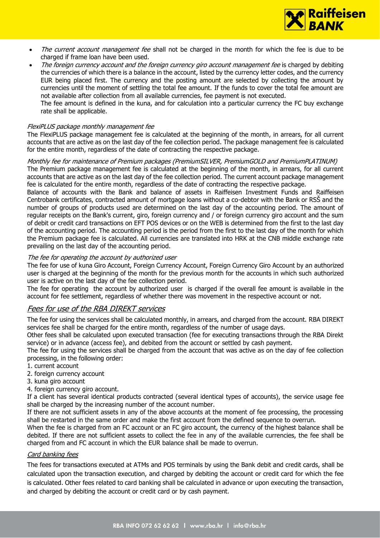

- The current account management fee shall not be charged in the month for which the fee is due to be charged if frame loan have been used.
- The foreign currency account and the foreign currency giro account management fee is charged by debiting the currencies of which there is a balance in the account, listed by the currency letter codes, and the currency EUR being placed first. The currency and the posting amount are selected by collecting the amount by currencies until the moment of settling the total fee amount. If the funds to cover the total fee amount are not available after collection from all available currencies, fee payment is not executed.

The fee amount is defined in the kuna, and for calculation into a particular currency the FC buy exchange rate shall be applicable.

#### FlexiPLUS package monthly management fee

The FlexiPLUS package management fee is calculated at the beginning of the month, in arrears, for all current accounts that are active as on the last day of the fee collection period. The package management fee is calculated for the entire month, regardless of the date of contracting the respective package.

#### Monthly fee for maintenance of Premium packages (PremiumSILVER, PremiumGOLD and PremiumPLATINUM)

The Premium package management fee is calculated at the beginning of the month, in arrears, for all current accounts that are active as on the last day of the fee collection period. The current account package management fee is calculated for the entire month, regardless of the date of contracting the respective package.

Balance of accounts with the Bank and balance of assets in Raiffeisen Investment Funds and Raiffeisen Centrobank certificates, contracted amount of mortgage loans without a co-debtor with the Bank or RSŠ and the number of groups of products used are determined on the last day of the accounting period. The amount of regular receipts on the Bank's current, giro, foreign currency and / or foreign currency giro account and the sum of debit or credit card transactions on EFT POS devices or on the WEB is determined from the first to the last day of the accounting period. The accounting period is the period from the first to the last day of the month for which the Premium package fee is calculated. All currencies are translated into HRK at the CNB middle exchange rate prevailing on the last day of the accounting period.

#### The fee for operating the account by authorized user

The fee for use of kuna Giro Account, Foreign Currency Account, Foreign Currency Giro Account by an authorized user is charged at the beginning of the month for the previous month for the accounts in which such authorized user is active on the last day of the fee collection period.

The fee for operating the account by authorized user is charged if the overall fee amount is available in the account for fee settlement, regardless of whether there was movement in the respective account or not.

### Fees for use of the RBA DIREKT services

The fee for using the services shall be calculated monthly, in arrears, and charged from the account. RBA DIREKT services fee shall be charged for the entire month, regardless of the number of usage days.

Other fees shall be calculated upon executed transaction (fee for executing transactions through the RBA Direkt service) or in advance (access fee), and debited from the account or settled by cash payment.

The fee for using the services shall be charged from the account that was active as on the day of fee collection processing, in the following order:

- 1. current account
- 2. foreign currency account
- 3. kuna giro account
- 4. foreign currency giro account.

If a client has several identical products contracted (several identical types of accounts), the service usage fee shall be charged by the increasing number of the account number.

If there are not sufficient assets in any of the above accounts at the moment of fee processing, the processing shall be restarted in the same order and make the first account from the defined sequence to overrun.

When the fee is charged from an FC account or an FC giro account, the currency of the highest balance shall be debited. If there are not sufficient assets to collect the fee in any of the available currencies, the fee shall be charged from and FC account in which the EUR balance shall be made to overrun.

#### Card banking fees

The fees for transactions executed at ATMs and POS terminals by using the Bank debit and credit cards, shall be calculated upon the transaction execution, and charged by debiting the account or credit card for which the fee is calculated. Other fees related to card banking shall be calculated in advance or upon executing the transaction, and charged by debiting the account or credit card or by cash payment.